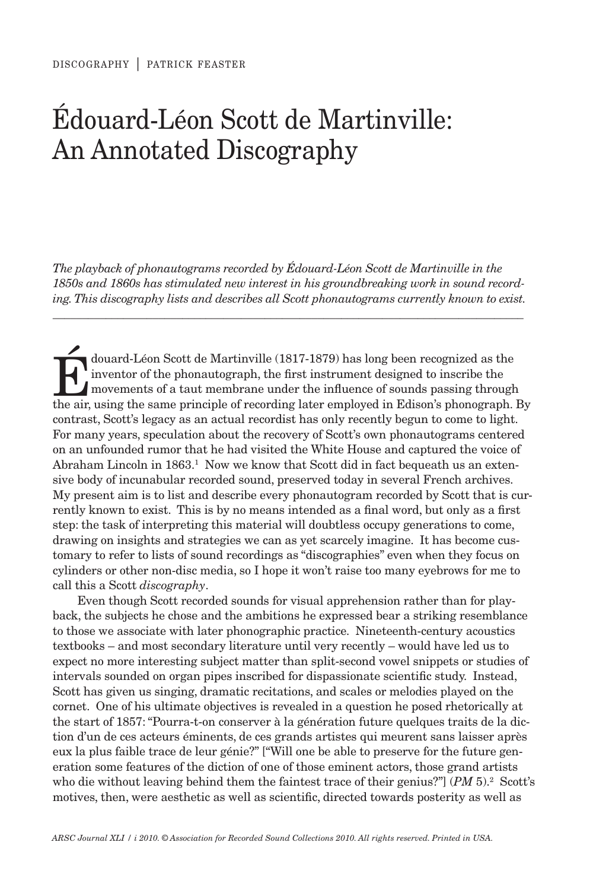# édouard-Léon Scott de Martinville: An Annotated Discography

*The playback of phonautograms recorded by Édouard-Léon Scott de Martinville in the 1850s and 1860s has stimulated new interest in his groundbreaking work in sound recording. This discography lists and describes all Scott phonautograms currently known to exist.*

 $\_$  , and the set of the set of the set of the set of the set of the set of the set of the set of the set of the set of the set of the set of the set of the set of the set of the set of the set of the set of the set of th

douard-Léon Scott de Martinville (1817-1879) has long been recognized as the<br>inventor of the phonautograph, the first instrument designed to inscribe the<br>movements of a taut membrane under the influence of sounds passing t inventor of the phonautograph, the first instrument designed to inscribe the movements of a taut membrane under the influence of sounds passing through the air, using the same principle of recording later employed in Edison's phonograph. By contrast, Scott's legacy as an actual recordist has only recently begun to come to light. For many years, speculation about the recovery of Scott's own phonautograms centered on an unfounded rumor that he had visited the White House and captured the voice of Abraham Lincoln in  $1863$ .<sup>1</sup> Now we know that Scott did in fact bequeath us an extensive body of incunabular recorded sound, preserved today in several French archives. My present aim is to list and describe every phonautogram recorded by Scott that is currently known to exist. This is by no means intended as a final word, but only as a first step: the task of interpreting this material will doubtless occupy generations to come, drawing on insights and strategies we can as yet scarcely imagine. It has become customary to refer to lists of sound recordings as "discographies" even when they focus on cylinders or other non-disc media, so I hope it won't raise too many eyebrows for me to call this a Scott *discography*.

Even though Scott recorded sounds for visual apprehension rather than for playback, the subjects he chose and the ambitions he expressed bear a striking resemblance to those we associate with later phonographic practice. Nineteenth-century acoustics textbooks – and most secondary literature until very recently – would have led us to expect no more interesting subject matter than split-second vowel snippets or studies of intervals sounded on organ pipes inscribed for dispassionate scientific study. Instead, Scott has given us singing, dramatic recitations, and scales or melodies played on the cornet. One of his ultimate objectives is revealed in a question he posed rhetorically at the start of 1857: "Pourra-t-on conserver à la génération future quelques traits de la diction d'un de ces acteurs éminents, de ces grands artistes qui meurent sans laisser après eux la plus faible trace de leur génie?" ["Will one be able to preserve for the future generation some features of the diction of one of those eminent actors, those grand artists who die without leaving behind them the faintest trace of their genius?" (*PM* 5).<sup>2</sup> Scott's motives, then, were aesthetic as well as scientific, directed towards posterity as well as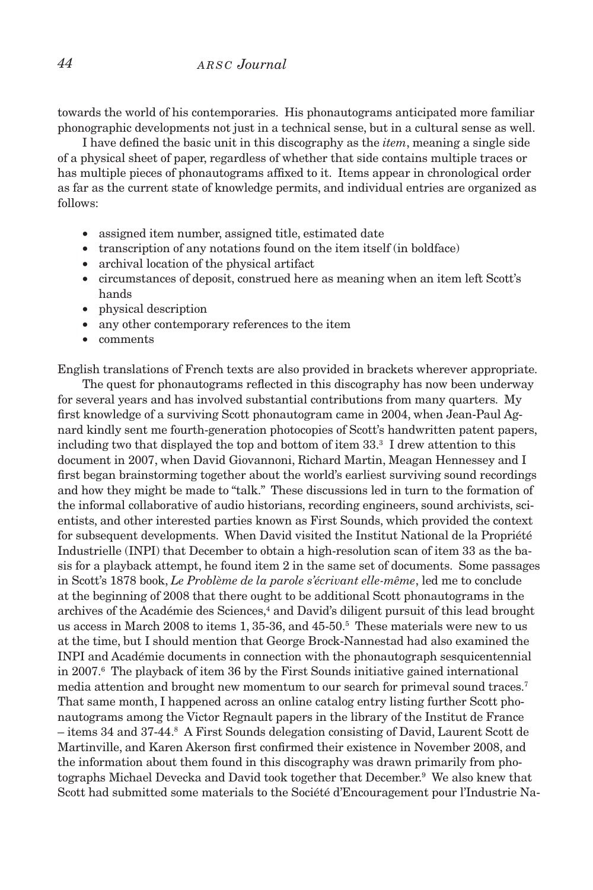# *44 a r s c Journal*

towards the world of his contemporaries. His phonautograms anticipated more familiar phonographic developments not just in a technical sense, but in a cultural sense as well.

I have defined the basic unit in this discography as the *item*, meaning a single side of a physical sheet of paper, regardless of whether that side contains multiple traces or has multiple pieces of phonautograms affixed to it. Items appear in chronological order as far as the current state of knowledge permits, and individual entries are organized as follows:

- assigned item number, assigned title, estimated date
- transcription of any notations found on the item itself (in boldface)
- archival location of the physical artifact
- circumstances of deposit, construed here as meaning when an item left Scott's hands
- • physical description
- • any other contemporary references to the item
- • comments

English translations of French texts are also provided in brackets wherever appropriate.

The quest for phonautograms reflected in this discography has now been underway for several years and has involved substantial contributions from many quarters. My first knowledge of a surviving Scott phonautogram came in 2004, when Jean-Paul Agnard kindly sent me fourth-generation photocopies of Scott's handwritten patent papers, including two that displayed the top and bottom of item 33.3 I drew attention to this document in 2007, when David Giovannoni, Richard Martin, Meagan Hennessey and I first began brainstorming together about the world's earliest surviving sound recordings and how they might be made to "talk." These discussions led in turn to the formation of the informal collaborative of audio historians, recording engineers, sound archivists, scientists, and other interested parties known as First Sounds, which provided the context for subsequent developments. When David visited the Institut National de la Propriété Industrielle (INPI) that December to obtain a high-resolution scan of item 33 as the basis for a playback attempt, he found item 2 in the same set of documents. Some passages in Scott's 1878 book, *Le Problème de la parole s'écrivant elle-même*, led me to conclude at the beginning of 2008 that there ought to be additional Scott phonautograms in the archives of the Académie des Sciences,<sup>4</sup> and David's diligent pursuit of this lead brought us access in March 2008 to items 1, 35-36, and 45-50.<sup>5</sup> These materials were new to us at the time, but I should mention that George Brock-Nannestad had also examined the INPI and Académie documents in connection with the phonautograph sesquicentennial in 2007.6 The playback of item 36 by the First Sounds initiative gained international media attention and brought new momentum to our search for primeval sound traces.<sup>7</sup> That same month, I happened across an online catalog entry listing further Scott phonautograms among the Victor Regnault papers in the library of the Institut de France – items 34 and 37-44.<sup>8</sup> A First Sounds delegation consisting of David, Laurent Scott de Martinville, and Karen Akerson first confirmed their existence in November 2008, and the information about them found in this discography was drawn primarily from photographs Michael Devecka and David took together that December.<sup>9</sup> We also knew that Scott had submitted some materials to the Société d'Encouragement pour l'Industrie Na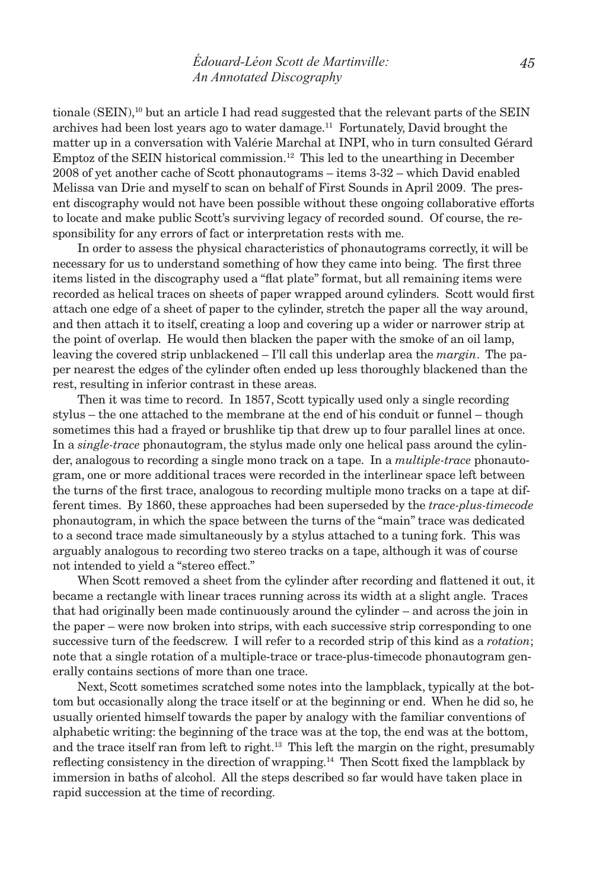tionale (SEIN),<sup>10</sup> but an article I had read suggested that the relevant parts of the SEIN archives had been lost years ago to water damage.11 Fortunately, David brought the matter up in a conversation with Valérie Marchal at INPI, who in turn consulted Gérard Emptoz of the SEIN historical commission.<sup>12</sup> This led to the unearthing in December 2008 of yet another cache of Scott phonautograms – items 3-32 – which David enabled Melissa van Drie and myself to scan on behalf of First Sounds in April 2009. The present discography would not have been possible without these ongoing collaborative efforts to locate and make public Scott's surviving legacy of recorded sound. Of course, the responsibility for any errors of fact or interpretation rests with me.

In order to assess the physical characteristics of phonautograms correctly, it will be necessary for us to understand something of how they came into being. The first three items listed in the discography used a "flat plate" format, but all remaining items were recorded as helical traces on sheets of paper wrapped around cylinders. Scott would first attach one edge of a sheet of paper to the cylinder, stretch the paper all the way around, and then attach it to itself, creating a loop and covering up a wider or narrower strip at the point of overlap. He would then blacken the paper with the smoke of an oil lamp, leaving the covered strip unblackened – I'll call this underlap area the *margin*. The paper nearest the edges of the cylinder often ended up less thoroughly blackened than the rest, resulting in inferior contrast in these areas.

Then it was time to record. In 1857, Scott typically used only a single recording stylus – the one attached to the membrane at the end of his conduit or funnel – though sometimes this had a frayed or brushlike tip that drew up to four parallel lines at once. In a *single-trace* phonautogram, the stylus made only one helical pass around the cylinder, analogous to recording a single mono track on a tape. In a *multiple-trace* phonautogram, one or more additional traces were recorded in the interlinear space left between the turns of the first trace, analogous to recording multiple mono tracks on a tape at different times. By 1860, these approaches had been superseded by the *trace-plus-timecode*  phonautogram, in which the space between the turns of the "main" trace was dedicated to a second trace made simultaneously by a stylus attached to a tuning fork. This was arguably analogous to recording two stereo tracks on a tape, although it was of course not intended to yield a "stereo effect."

When Scott removed a sheet from the cylinder after recording and flattened it out, it became a rectangle with linear traces running across its width at a slight angle. Traces that had originally been made continuously around the cylinder – and across the join in the paper – were now broken into strips, with each successive strip corresponding to one successive turn of the feedscrew. I will refer to a recorded strip of this kind as a *rotation*; note that a single rotation of a multiple-trace or trace-plus-timecode phonautogram generally contains sections of more than one trace.

Next, Scott sometimes scratched some notes into the lampblack, typically at the bottom but occasionally along the trace itself or at the beginning or end. When he did so, he usually oriented himself towards the paper by analogy with the familiar conventions of alphabetic writing: the beginning of the trace was at the top, the end was at the bottom, and the trace itself ran from left to right.13 This left the margin on the right, presumably reflecting consistency in the direction of wrapping.<sup>14</sup> Then Scott fixed the lampblack by immersion in baths of alcohol. All the steps described so far would have taken place in rapid succession at the time of recording.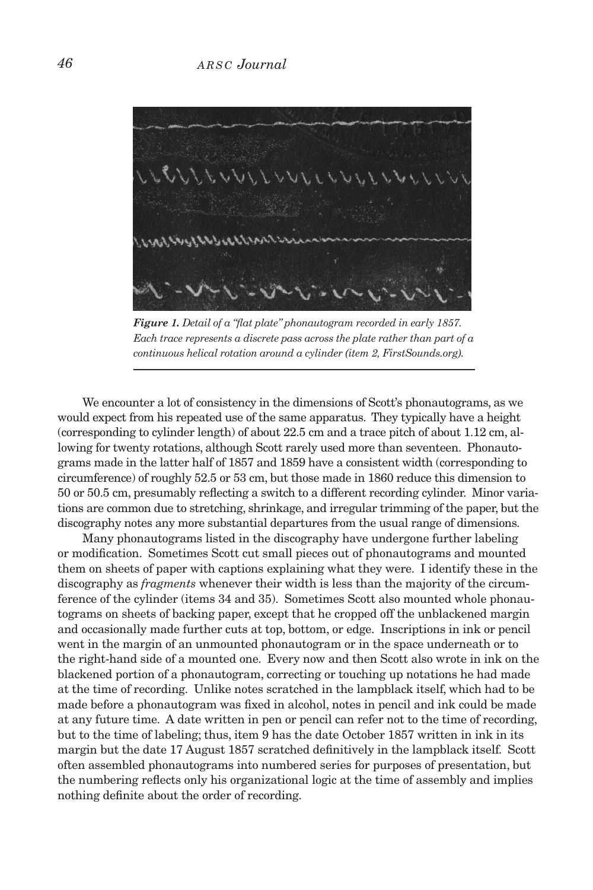

*Figure 1. Detail of a "flat plate" phonautogram recorded in early 1857. Each trace represents a discrete pass across the plate rather than part of a continuous helical rotation around a cylinder (item 2, FirstSounds.org).*

We encounter a lot of consistency in the dimensions of Scott's phonautograms, as we would expect from his repeated use of the same apparatus. They typically have a height (corresponding to cylinder length) of about 22.5 cm and a trace pitch of about 1.12 cm, allowing for twenty rotations, although Scott rarely used more than seventeen. Phonautograms made in the latter half of 1857 and 1859 have a consistent width (corresponding to circumference) of roughly 52.5 or 53 cm, but those made in 1860 reduce this dimension to 50 or 50.5 cm, presumably reflecting a switch to a different recording cylinder. Minor variations are common due to stretching, shrinkage, and irregular trimming of the paper, but the discography notes any more substantial departures from the usual range of dimensions.

Many phonautograms listed in the discography have undergone further labeling or modification. Sometimes Scott cut small pieces out of phonautograms and mounted them on sheets of paper with captions explaining what they were. I identify these in the discography as *fragments* whenever their width is less than the majority of the circumference of the cylinder (items 34 and 35). Sometimes Scott also mounted whole phonautograms on sheets of backing paper, except that he cropped off the unblackened margin and occasionally made further cuts at top, bottom, or edge. Inscriptions in ink or pencil went in the margin of an unmounted phonautogram or in the space underneath or to the right-hand side of a mounted one. Every now and then Scott also wrote in ink on the blackened portion of a phonautogram, correcting or touching up notations he had made at the time of recording. Unlike notes scratched in the lampblack itself, which had to be made before a phonautogram was fixed in alcohol, notes in pencil and ink could be made at any future time. A date written in pen or pencil can refer not to the time of recording, but to the time of labeling; thus, item 9 has the date October 1857 written in ink in its margin but the date 17 August 1857 scratched definitively in the lampblack itself. Scott often assembled phonautograms into numbered series for purposes of presentation, but the numbering reflects only his organizational logic at the time of assembly and implies nothing definite about the order of recording.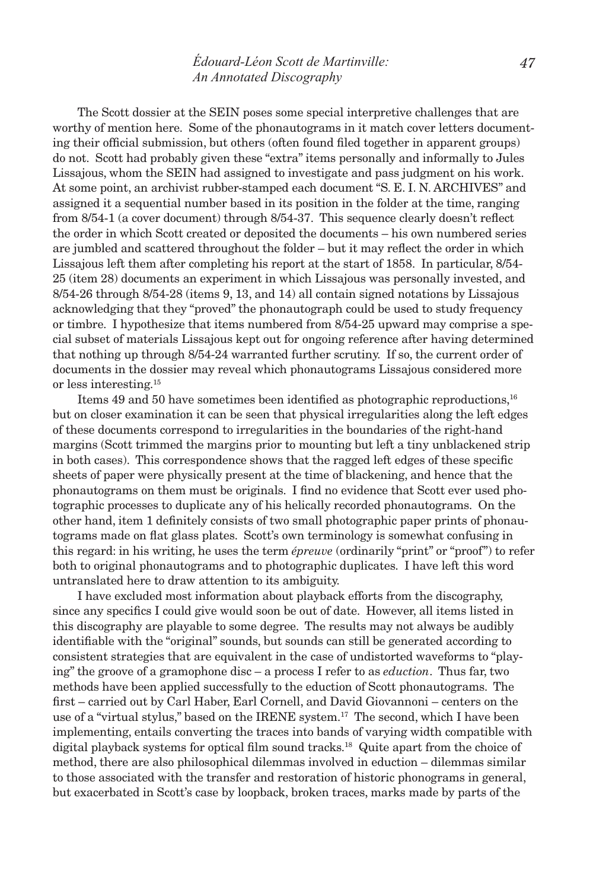The Scott dossier at the SEIN poses some special interpretive challenges that are worthy of mention here. Some of the phonautograms in it match cover letters documenting their official submission, but others (often found filed together in apparent groups) do not. Scott had probably given these "extra" items personally and informally to Jules Lissajous, whom the SEIN had assigned to investigate and pass judgment on his work. At some point, an archivist rubber-stamped each document "S. E. I. N. ARCHIVES" and assigned it a sequential number based in its position in the folder at the time, ranging from 8/54-1 (a cover document) through 8/54-37. This sequence clearly doesn't reflect the order in which Scott created or deposited the documents – his own numbered series are jumbled and scattered throughout the folder – but it may reflect the order in which Lissajous left them after completing his report at the start of 1858. In particular, 8/54- 25 (item 28) documents an experiment in which Lissajous was personally invested, and 8/54-26 through 8/54-28 (items 9, 13, and 14) all contain signed notations by Lissajous acknowledging that they "proved" the phonautograph could be used to study frequency or timbre. I hypothesize that items numbered from 8/54-25 upward may comprise a special subset of materials Lissajous kept out for ongoing reference after having determined that nothing up through 8/54-24 warranted further scrutiny. If so, the current order of documents in the dossier may reveal which phonautograms Lissajous considered more or less interesting.15

Items 49 and 50 have sometimes been identified as photographic reproductions,16 but on closer examination it can be seen that physical irregularities along the left edges of these documents correspond to irregularities in the boundaries of the right-hand margins (Scott trimmed the margins prior to mounting but left a tiny unblackened strip in both cases). This correspondence shows that the ragged left edges of these specific sheets of paper were physically present at the time of blackening, and hence that the phonautograms on them must be originals. I find no evidence that Scott ever used photographic processes to duplicate any of his helically recorded phonautograms. On the other hand, item 1 definitely consists of two small photographic paper prints of phonautograms made on flat glass plates. Scott's own terminology is somewhat confusing in this regard: in his writing, he uses the term *épreuve* (ordinarily "print" or "proof") to refer both to original phonautograms and to photographic duplicates. I have left this word untranslated here to draw attention to its ambiguity.

I have excluded most information about playback efforts from the discography, since any specifics I could give would soon be out of date. However, all items listed in this discography are playable to some degree. The results may not always be audibly identifiable with the "original" sounds, but sounds can still be generated according to consistent strategies that are equivalent in the case of undistorted waveforms to "playing" the groove of a gramophone disc – a process I refer to as *eduction*. Thus far, two methods have been applied successfully to the eduction of Scott phonautograms. The first – carried out by Carl Haber, Earl Cornell, and David Giovannoni – centers on the use of a "virtual stylus," based on the IRENE system.<sup>17</sup> The second, which I have been implementing, entails converting the traces into bands of varying width compatible with digital playback systems for optical film sound tracks.<sup>18</sup> Quite apart from the choice of method, there are also philosophical dilemmas involved in eduction – dilemmas similar to those associated with the transfer and restoration of historic phonograms in general, but exacerbated in Scott's case by loopback, broken traces, marks made by parts of the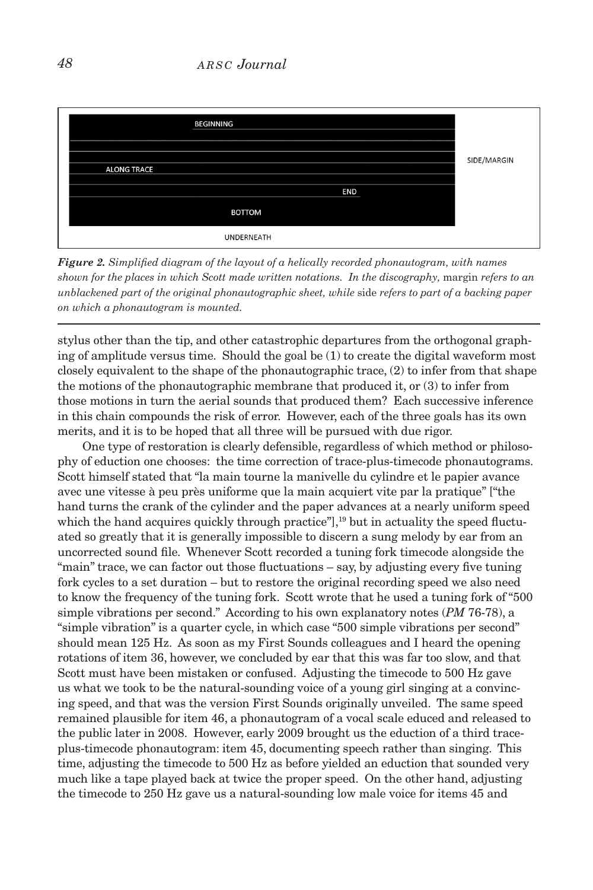| <b>BEGINNING</b>   |            |             |
|--------------------|------------|-------------|
| <b>ALONG TRACE</b> |            | SIDE/MARGIN |
|                    | <b>END</b> |             |
| <b>BOTTOM</b>      |            |             |
| UNDERNEATH         |            |             |

*Figure 2. Simplified diagram of the layout of a helically recorded phonautogram, with names shown for the places in which Scott made written notations. In the discography, margin refers to an unblackened part of the original phonautographic sheet, while* side *refers to part of a backing paper on which a phonautogram is mounted.*

stylus other than the tip, and other catastrophic departures from the orthogonal graphing of amplitude versus time. Should the goal be (1) to create the digital waveform most closely equivalent to the shape of the phonautographic trace, (2) to infer from that shape the motions of the phonautographic membrane that produced it, or (3) to infer from those motions in turn the aerial sounds that produced them? Each successive inference in this chain compounds the risk of error. However, each of the three goals has its own merits, and it is to be hoped that all three will be pursued with due rigor.

One type of restoration is clearly defensible, regardless of which method or philosophy of eduction one chooses: the time correction of trace-plus-timecode phonautograms. Scott himself stated that "la main tourne la manivelle du cylindre et le papier avance avec une vitesse à peu près uniforme que la main acquiert vite par la pratique" ["the hand turns the crank of the cylinder and the paper advances at a nearly uniform speed which the hand acquires quickly through practice"],<sup>19</sup> but in actuality the speed fluctuated so greatly that it is generally impossible to discern a sung melody by ear from an uncorrected sound file. Whenever Scott recorded a tuning fork timecode alongside the "main" trace, we can factor out those fluctuations – say, by adjusting every five tuning fork cycles to a set duration – but to restore the original recording speed we also need to know the frequency of the tuning fork. Scott wrote that he used a tuning fork of "500 simple vibrations per second." According to his own explanatory notes (*PM* 76-78), a "simple vibration" is a quarter cycle, in which case "500 simple vibrations per second" should mean 125 Hz. As soon as my First Sounds colleagues and I heard the opening rotations of item 36, however, we concluded by ear that this was far too slow, and that Scott must have been mistaken or confused. Adjusting the timecode to 500 Hz gave us what we took to be the natural-sounding voice of a young girl singing at a convincing speed, and that was the version First Sounds originally unveiled. The same speed remained plausible for item 46, a phonautogram of a vocal scale educed and released to the public later in 2008. However, early 2009 brought us the eduction of a third traceplus-timecode phonautogram: item 45, documenting speech rather than singing. This time, adjusting the timecode to 500 Hz as before yielded an eduction that sounded very much like a tape played back at twice the proper speed. On the other hand, adjusting the timecode to 250 Hz gave us a natural-sounding low male voice for items 45 and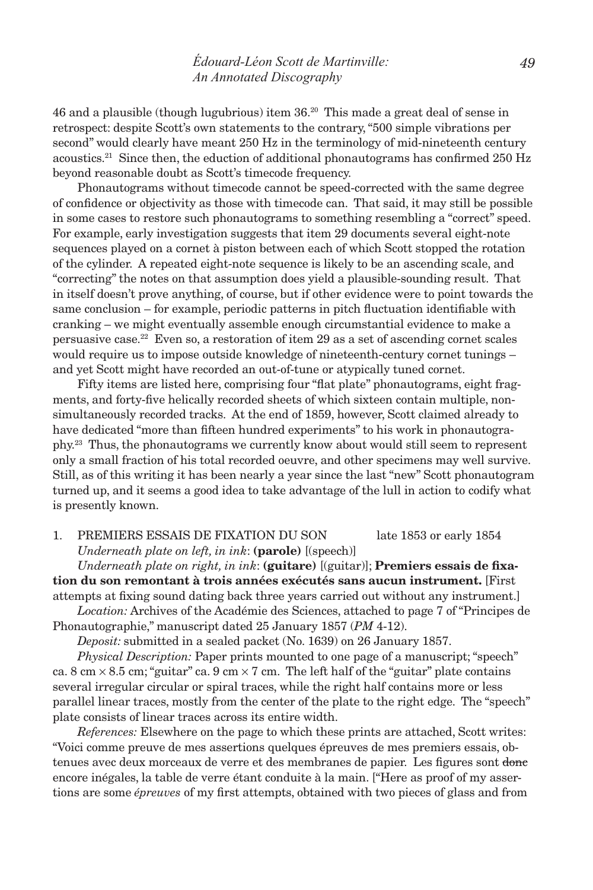# *édouard-Léon Scott de Martinville: An Annotated Discography*

46 and a plausible (though lugubrious) item 36.20 This made a great deal of sense in retrospect: despite Scott's own statements to the contrary, "500 simple vibrations per second" would clearly have meant 250 Hz in the terminology of mid-nineteenth century acoustics.21 Since then, the eduction of additional phonautograms has confirmed 250 Hz beyond reasonable doubt as Scott's timecode frequency.

Phonautograms without timecode cannot be speed-corrected with the same degree of confidence or objectivity as those with timecode can. That said, it may still be possible in some cases to restore such phonautograms to something resembling a "correct" speed. For example, early investigation suggests that item 29 documents several eight-note sequences played on a cornet à piston between each of which Scott stopped the rotation of the cylinder. A repeated eight-note sequence is likely to be an ascending scale, and "correcting" the notes on that assumption does yield a plausible-sounding result. That in itself doesn't prove anything, of course, but if other evidence were to point towards the same conclusion – for example, periodic patterns in pitch fluctuation identifiable with cranking – we might eventually assemble enough circumstantial evidence to make a persuasive case.<sup>22</sup> Even so, a restoration of item 29 as a set of ascending cornet scales would require us to impose outside knowledge of nineteenth-century cornet tunings – and yet Scott might have recorded an out-of-tune or atypically tuned cornet.

Fifty items are listed here, comprising four "flat plate" phonautograms, eight fragments, and forty-five helically recorded sheets of which sixteen contain multiple, nonsimultaneously recorded tracks. At the end of 1859, however, Scott claimed already to have dedicated "more than fifteen hundred experiments" to his work in phonautography.23 Thus, the phonautograms we currently know about would still seem to represent only a small fraction of his total recorded oeuvre, and other specimens may well survive. Still, as of this writing it has been nearly a year since the last "new" Scott phonautogram turned up, and it seems a good idea to take advantage of the lull in action to codify what is presently known.

# 1. premiers essais de fixation du son late 1853 or early 1854 *Underneath plate on left, in ink*: **(parole)** [(speech)]

*Underneath plate on right, in ink*: **(guitare)** [(guitar)]; **Premiers essais de fixation du son remontant à trois années exécutés sans aucun instrument.** [First

attempts at fixing sound dating back three years carried out without any instrument.] *Location:* Archives of the Académie des Sciences, attached to page 7 of "Principes de

Phonautographie," manuscript dated 25 January 1857 (*PM* 4-12). *Deposit:* submitted in a sealed packet (No. 1639) on 26 January 1857.

*Physical Description:* Paper prints mounted to one page of a manuscript; "speech" ca. 8 cm  $\times$  8.5 cm; "guitar" ca. 9 cm  $\times$  7 cm. The left half of the "guitar" plate contains several irregular circular or spiral traces, while the right half contains more or less parallel linear traces, mostly from the center of the plate to the right edge. The "speech"

plate consists of linear traces across its entire width.

*References:* Elsewhere on the page to which these prints are attached, Scott writes: "Voici comme preuve de mes assertions quelques épreuves de mes premiers essais, obtenues avec deux morceaux de verre et des membranes de papier. Les figures sont donc encore inégales, la table de verre étant conduite à la main. ["Here as proof of my assertions are some *épreuves* of my first attempts, obtained with two pieces of glass and from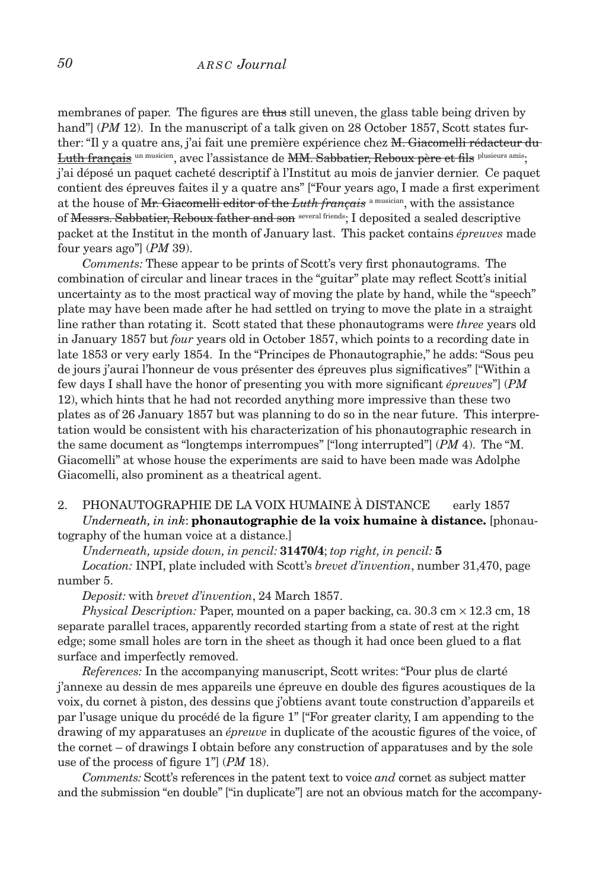membranes of paper. The figures are thus still uneven, the glass table being driven by hand"] (*PM* 12). In the manuscript of a talk given on 28 October 1857, Scott states further: "Il y a quatre ans, j'ai fait une première expérience chez M. Giacomelli rédacteur du Luth français un musicien, avec l'assistance de MM. Sabbatier, Reboux père et fils plusieurs amis; j'ai déposé un paquet cacheté descriptif à l'Institut au mois de janvier dernier. Ce paquet contient des épreuves faites il y a quatre ans" ["Four years ago, I made a first experiment at the house of Mr. Giacomelli editor of the *Luth français* a musician, with the assistance of Messrs. Sabbatier, Reboux father and son several friends; I deposited a sealed descriptive packet at the Institut in the month of January last. This packet contains *épreuves* made four years ago"] (*PM* 39).

*Comments:* These appear to be prints of Scott's very first phonautograms. The combination of circular and linear traces in the "guitar" plate may reflect Scott's initial uncertainty as to the most practical way of moving the plate by hand, while the "speech" plate may have been made after he had settled on trying to move the plate in a straight line rather than rotating it. Scott stated that these phonautograms were *three* years old in January 1857 but *four* years old in October 1857, which points to a recording date in late 1853 or very early 1854. In the "Principes de Phonautographie," he adds: "Sous peu de jours j'aurai l'honneur de vous présenter des épreuves plus significatives" ["Within a few days I shall have the honor of presenting you with more significant *épreuves*"] (*PM*  12), which hints that he had not recorded anything more impressive than these two plates as of 26 January 1857 but was planning to do so in the near future. This interpretation would be consistent with his characterization of his phonautographic research in the same document as "longtemps interrompues" ["long interrupted"] (*PM* 4). The "M. Giacomelli" at whose house the experiments are said to have been made was Adolphe Giacomelli, also prominent as a theatrical agent.

### 2. phonautographie de la voix humaine à distance early 1857 *Underneath, in ink*: **phonautographie de la voix humaine à distance.** [phonautography of the human voice at a distance.]

*Underneath, upside down, in pencil:* **31470/4**; *top right, in pencil:* **5**

*Location:* INPI, plate included with Scott's *brevet d'invention*, number 31,470, page number 5.

*Deposit:* with *brevet d'invention*, 24 March 1857.

*Physical Description:* Paper, mounted on a paper backing, ca. 30.3 cm × 12.3 cm, 18 separate parallel traces, apparently recorded starting from a state of rest at the right edge; some small holes are torn in the sheet as though it had once been glued to a flat surface and imperfectly removed.

*References:* In the accompanying manuscript, Scott writes: "Pour plus de clarté j'annexe au dessin de mes appareils une épreuve en double des figures acoustiques de la voix, du cornet à piston, des dessins que j'obtiens avant toute construction d'appareils et par l'usage unique du procédé de la figure 1" ["For greater clarity, I am appending to the drawing of my apparatuses an *épreuve* in duplicate of the acoustic figures of the voice, of the cornet – of drawings I obtain before any construction of apparatuses and by the sole use of the process of figure 1"] (*PM* 18).

*Comments:* Scott's references in the patent text to voice *and* cornet as subject matter and the submission "en double" ["in duplicate"] are not an obvious match for the accompany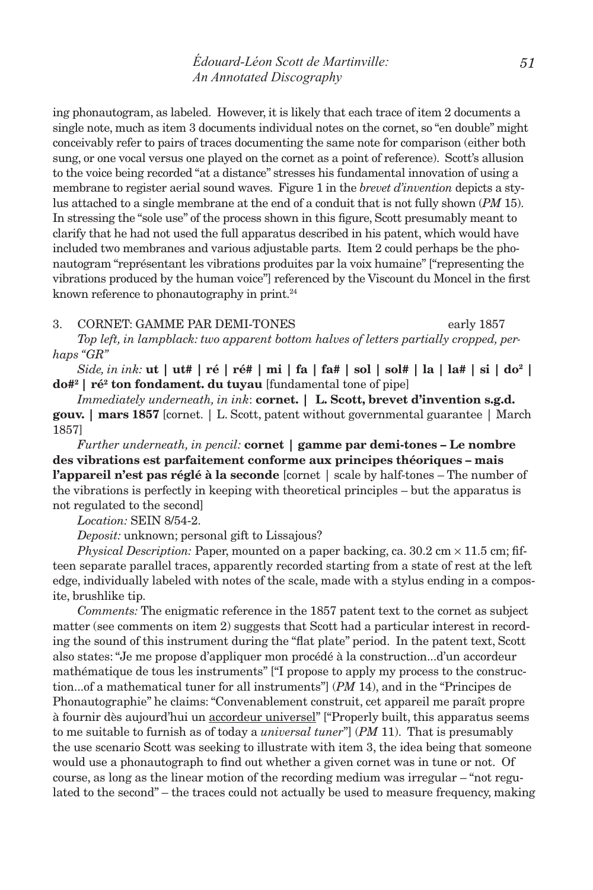ing phonautogram, as labeled. However, it is likely that each trace of item 2 documents a single note, much as item 3 documents individual notes on the cornet, so "en double" might conceivably refer to pairs of traces documenting the same note for comparison (either both sung, or one vocal versus one played on the cornet as a point of reference). Scott's allusion to the voice being recorded "at a distance" stresses his fundamental innovation of using a membrane to register aerial sound waves. Figure 1 in the *brevet d'invention* depicts a stylus attached to a single membrane at the end of a conduit that is not fully shown (*PM* 15). In stressing the "sole use" of the process shown in this figure, Scott presumably meant to clarify that he had not used the full apparatus described in his patent, which would have included two membranes and various adjustable parts. Item 2 could perhaps be the phonautogram "représentant les vibrations produites par la voix humaine" ["representing the vibrations produced by the human voice"] referenced by the Viscount du Moncel in the first known reference to phonautography in print. $24$ 

### 3. CORNET: GAMME PAR DEMI-TONES early 1857

*Top left, in lampblack: two apparent bottom halves of letters partially cropped, perhaps "GR"*

*Side, in ink:* **ut | ut# | ré | ré# | mi | fa | fa# | sol | sol# | la | la# | si | do2 | do#<sup>2</sup>** | **ré<sup>2</sup> ton fondament. du tuyau** [fundamental tone of pipe]

*Immediately underneath, in ink*: **cornet. | L. Scott, brevet d'invention s.g.d. gouv. | mars 1857** [cornet. | L. Scott, patent without governmental guarantee | March 1857]

*Further underneath, in pencil:* **cornet | gamme par demi-tones – Le nombre des vibrations est parfaitement conforme aux principes théoriques – mais l'appareil n'est pas réglé à la seconde** [cornet | scale by half-tones – The number of the vibrations is perfectly in keeping with theoretical principles – but the apparatus is not regulated to the second]

*Location:* SEIN 8/54-2.

*Deposit:* unknown; personal gift to Lissajous?

*Physical Description:* Paper, mounted on a paper backing, ca.  $30.2 \text{ cm} \times 11.5 \text{ cm}$ ; fifteen separate parallel traces, apparently recorded starting from a state of rest at the left edge, individually labeled with notes of the scale, made with a stylus ending in a composite, brushlike tip.

*Comments:* The enigmatic reference in the 1857 patent text to the cornet as subject matter (see comments on item 2) suggests that Scott had a particular interest in recording the sound of this instrument during the "flat plate" period. In the patent text, Scott also states: "Je me propose d'appliquer mon procédé à la construction...d'un accordeur mathématique de tous les instruments" ["I propose to apply my process to the construction...of a mathematical tuner for all instruments"] (*PM* 14), and in the "Principes de Phonautographie" he claims: "Convenablement construit, cet appareil me paraît propre à fournir dès aujourd'hui un accordeur universel" ["Properly built, this apparatus seems to me suitable to furnish as of today a *universal tuner*"] (*PM* 11). That is presumably the use scenario Scott was seeking to illustrate with item 3, the idea being that someone would use a phonautograph to find out whether a given cornet was in tune or not. Of course, as long as the linear motion of the recording medium was irregular – "not regulated to the second" – the traces could not actually be used to measure frequency, making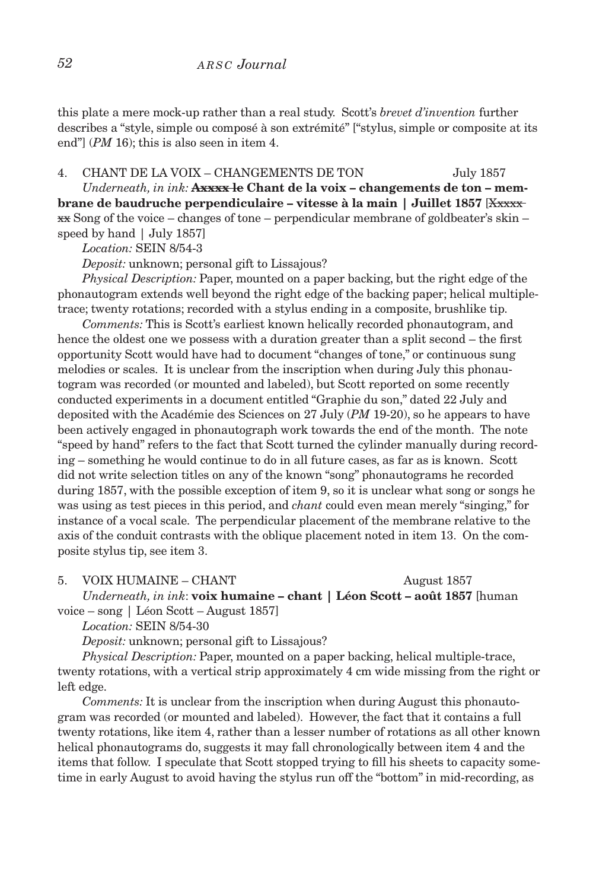this plate a mere mock-up rather than a real study. Scott's *brevet d'invention* further describes a "style, simple ou composé à son extrémité" ["stylus, simple or composite at its end"] (*PM* 16); this is also seen in item 4.

4. chant de la voix – changements de ton July 1857

Underneath, in ink: **Axxxx le Chant de la voix – changements de ton – membrane de baudruche perpendiculaire – vitesse à la main | Juillet 1857** [Xxxxx  $\overline{\text{xx}}$  Song of the voice – changes of tone – perpendicular membrane of goldbeater's skin – speed by hand | July 1857]

*Location:* SEIN 8/54-3

*Deposit:* unknown; personal gift to Lissajous?

*Physical Description:* Paper, mounted on a paper backing, but the right edge of the phonautogram extends well beyond the right edge of the backing paper; helical multipletrace; twenty rotations; recorded with a stylus ending in a composite, brushlike tip.

*Comments:* This is Scott's earliest known helically recorded phonautogram, and hence the oldest one we possess with a duration greater than a split second – the first opportunity Scott would have had to document "changes of tone," or continuous sung melodies or scales. It is unclear from the inscription when during July this phonautogram was recorded (or mounted and labeled), but Scott reported on some recently conducted experiments in a document entitled "Graphie du son," dated 22 July and deposited with the Académie des Sciences on 27 July (*PM* 19-20), so he appears to have been actively engaged in phonautograph work towards the end of the month. The note "speed by hand" refers to the fact that Scott turned the cylinder manually during recording – something he would continue to do in all future cases, as far as is known. Scott did not write selection titles on any of the known "song" phonautograms he recorded during 1857, with the possible exception of item 9, so it is unclear what song or songs he was using as test pieces in this period, and *chant* could even mean merely "singing," for instance of a vocal scale. The perpendicular placement of the membrane relative to the axis of the conduit contrasts with the oblique placement noted in item 13. On the composite stylus tip, see item 3.

5. VOIX HUMAINE – CHANT August 1857

*Underneath, in ink*: **voix humaine – chant | Léon Scott – août 1857** [human voice – song | Léon Scott – August 1857]

*Location:* SEIN 8/54-30

*Deposit:* unknown; personal gift to Lissajous?

*Physical Description:* Paper, mounted on a paper backing, helical multiple-trace, twenty rotations, with a vertical strip approximately 4 cm wide missing from the right or left edge.

*Comments:* It is unclear from the inscription when during August this phonautogram was recorded (or mounted and labeled). However, the fact that it contains a full twenty rotations, like item 4, rather than a lesser number of rotations as all other known helical phonautograms do, suggests it may fall chronologically between item 4 and the items that follow. I speculate that Scott stopped trying to fill his sheets to capacity sometime in early August to avoid having the stylus run off the "bottom" in mid-recording, as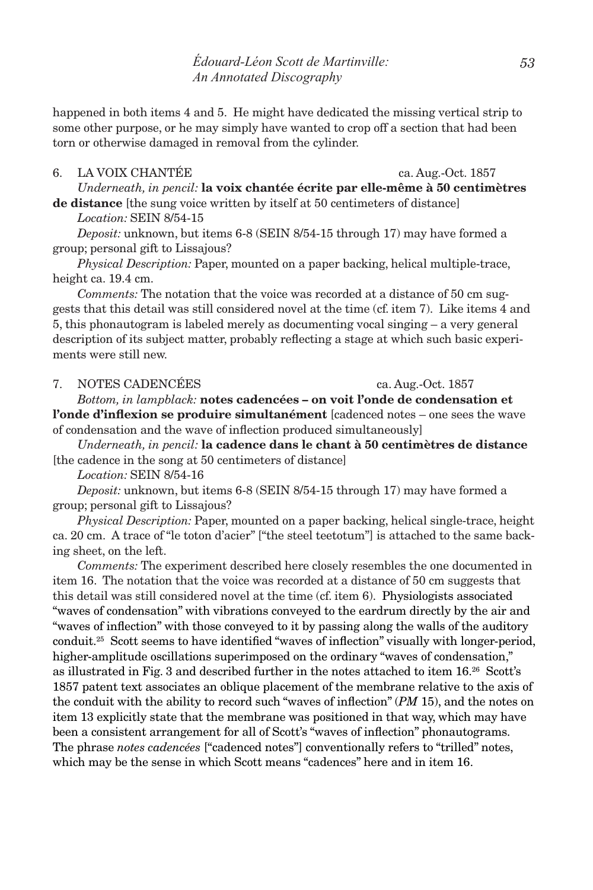happened in both items 4 and 5. He might have dedicated the missing vertical strip to some other purpose, or he may simply have wanted to crop off a section that had been torn or otherwise damaged in removal from the cylinder.

# 6. la voix chantée ca. Aug.-Oct. 1857

*Underneath, in pencil:* **la voix chantée écrite par elle-même à 50 centimètres de distance** [the sung voice written by itself at 50 centimeters of distance]

*Location:* SEIN 8/54-15

*Deposit:* unknown, but items 6-8 (SEIN 8/54-15 through 17) may have formed a group; personal gift to Lissajous?

*Physical Description:* Paper, mounted on a paper backing, helical multiple-trace, height ca. 19.4 cm.

*Comments:* The notation that the voice was recorded at a distance of 50 cm suggests that this detail was still considered novel at the time (cf. item 7). Like items 4 and 5, this phonautogram is labeled merely as documenting vocal singing – a very general description of its subject matter, probably reflecting a stage at which such basic experiments were still new.

### 7. NOTES CADENCÉES ca. Aug.-Oct. 1857

*Bottom, in lampblack:* **notes cadencées – on voit l'onde de condensation et l'onde d'inflexion se produire simultanément** [cadenced notes – one sees the wave of condensation and the wave of inflection produced simultaneously]

*Underneath, in pencil:* **la cadence dans le chant à 50 centimètres de distance** [the cadence in the song at 50 centimeters of distance]

*Location:* SEIN 8/54-16

*Deposit:* unknown, but items 6-8 (SEIN 8/54-15 through 17) may have formed a group; personal gift to Lissajous?

*Physical Description:* Paper, mounted on a paper backing, helical single-trace, height ca. 20 cm. A trace of "le toton d'acier" ["the steel teetotum"] is attached to the same backing sheet, on the left.

*Comments:* The experiment described here closely resembles the one documented in item 16. The notation that the voice was recorded at a distance of 50 cm suggests that this detail was still considered novel at the time (cf. item 6). Physiologists associated "waves of condensation" with vibrations conveyed to the eardrum directly by the air and "waves of inflection" with those conveyed to it by passing along the walls of the auditory conduit.25 Scott seems to have identified "waves of inflection" visually with longer-period, higher-amplitude oscillations superimposed on the ordinary "waves of condensation," as illustrated in Fig. 3 and described further in the notes attached to item 16.26 Scott's 1857 patent text associates an oblique placement of the membrane relative to the axis of the conduit with the ability to record such "waves of inflection" (*PM* 15), and the notes on item 13 explicitly state that the membrane was positioned in that way, which may have been a consistent arrangement for all of Scott's "waves of inflection" phonautograms. The phrase *notes cadencées* ["cadenced notes"] conventionally refers to "trilled" notes, which may be the sense in which Scott means "cadences" here and in item 16.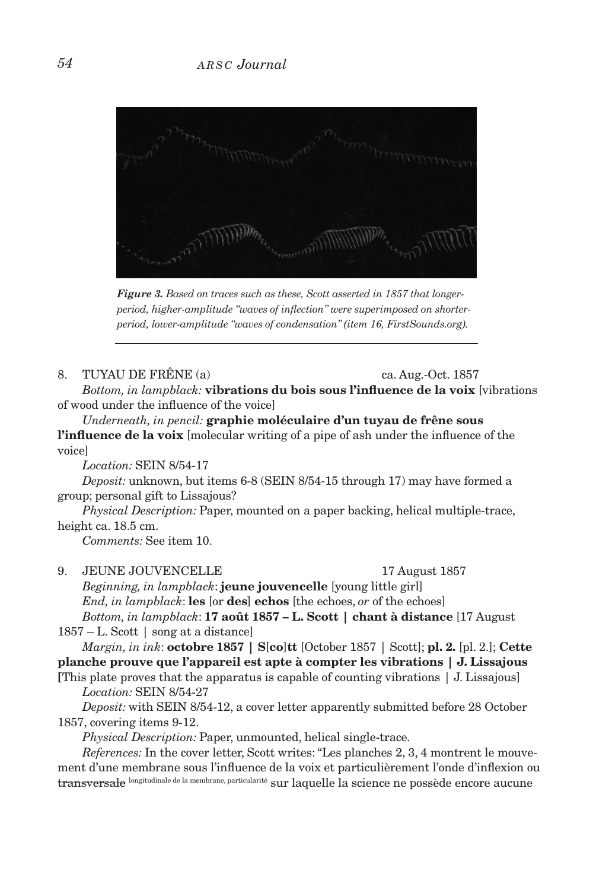

*Figure 3. Based on traces such as these, Scott asserted in 1857 that longerperiod, higher-amplitude "waves of inflection" were superimposed on shorterperiod, lower-amplitude "waves of condensation" (item 16, FirstSounds.org).*

### 8. TUYAU DE FRÊNE (a) ca. Aug.-Oct. 1857

*Bottom, in lampblack:* **vibrations du bois sous l'influence de la voix** [vibrations of wood under the influence of the voice]

*Underneath, in pencil:* **graphie moléculaire d'un tuyau de frêne sous** 

**l'influence de la voix** [molecular writing of a pipe of ash under the influence of the voice]

*Location:* SEIN 8/54-17

*Deposit:* unknown, but items 6-8 (SEIN 8/54-15 through 17) may have formed a group; personal gift to Lissajous?

*Physical Description:* Paper, mounted on a paper backing, helical multiple-trace, height ca. 18.5 cm.

*Comments:* See item 10.

### 9. JEUNE JOUVENCELLE 17 August 1857

*Beginning, in lampblack*: **jeune jouvencelle** [young little girl] *End, in lampblack*: **les** [or **des**] **echos** [the echoes, *or* of the echoes]

*Bottom, in lampblack*: **17 août 1857 – L. Scott | chant à distance** [17 August 1857 – L. Scott | song at a distance]

*Margin, in ink*: **octobre 1857 | S**[**co**]**tt** [October 1857 | Scott]; **pl. 2.** [pl. 2.]; **Cette planche prouve que l'appareil est apte à compter les vibrations | J. Lissajous** 

**[**This plate proves that the apparatus is capable of counting vibrations | J. Lissajous] *Location:* SEIN 8/54-27

*Deposit:* with SEIN 8/54-12, a cover letter apparently submitted before 28 October 1857, covering items 9-12.

*Physical Description:* Paper, unmounted, helical single-trace.

*References:* In the cover letter, Scott writes: "Les planches 2, 3, 4 montrent le mouvement d'une membrane sous l'influence de la voix et particulièrement l'onde d'inflexion ou transversale longitudinale de la membrane, particularité sur laquelle la science ne possède encore aucune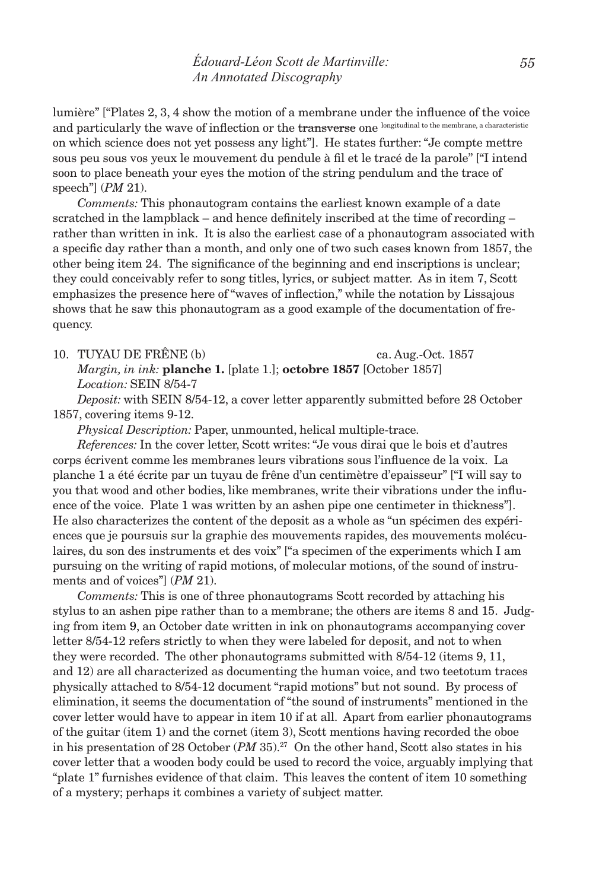lumière" ["Plates 2, 3, 4 show the motion of a membrane under the influence of the voice and particularly the wave of inflection or the transverse one longitudinal to the membrane, a characteristic on which science does not yet possess any light"]. He states further: "Je compte mettre sous peu sous vos yeux le mouvement du pendule à fil et le tracé de la parole" ["I intend soon to place beneath your eyes the motion of the string pendulum and the trace of speech"] (*PM* 21).

*Comments:* This phonautogram contains the earliest known example of a date scratched in the lampblack – and hence definitely inscribed at the time of recording – rather than written in ink. It is also the earliest case of a phonautogram associated with a specific day rather than a month, and only one of two such cases known from 1857, the other being item 24. The significance of the beginning and end inscriptions is unclear; they could conceivably refer to song titles, lyrics, or subject matter. As in item 7, Scott emphasizes the presence here of "waves of inflection," while the notation by Lissajous shows that he saw this phonautogram as a good example of the documentation of frequency.

### 10. TUYAU DE FRÊNE (b) ca. Aug.-Oct. 1857

*Margin, in ink:* **planche 1.** [plate 1.]; **octobre 1857** [October 1857] *Location:* SEIN 8/54-7

*Deposit:* with SEIN 8/54-12, a cover letter apparently submitted before 28 October 1857, covering items 9-12.

*Physical Description:* Paper, unmounted, helical multiple-trace.

*References:* In the cover letter, Scott writes: "Je vous dirai que le bois et d'autres corps écrivent comme les membranes leurs vibrations sous l'influence de la voix. La planche 1 a été écrite par un tuyau de frêne d'un centimètre d'epaisseur" ["I will say to you that wood and other bodies, like membranes, write their vibrations under the influence of the voice. Plate 1 was written by an ashen pipe one centimeter in thickness"]. He also characterizes the content of the deposit as a whole as "un spécimen des expériences que je poursuis sur la graphie des mouvements rapides, des mouvements moléculaires, du son des instruments et des voix" ["a specimen of the experiments which I am pursuing on the writing of rapid motions, of molecular motions, of the sound of instruments and of voices"] (*PM* 21).

*Comments:* This is one of three phonautograms Scott recorded by attaching his stylus to an ashen pipe rather than to a membrane; the others are items 8 and 15. Judging from item 9, an October date written in ink on phonautograms accompanying cover letter 8/54-12 refers strictly to when they were labeled for deposit, and not to when they were recorded. The other phonautograms submitted with 8/54-12 (items 9, 11, and 12) are all characterized as documenting the human voice, and two teetotum traces physically attached to 8/54-12 document "rapid motions" but not sound. By process of elimination, it seems the documentation of "the sound of instruments" mentioned in the cover letter would have to appear in item 10 if at all. Apart from earlier phonautograms of the guitar (item 1) and the cornet (item 3), Scott mentions having recorded the oboe in his presentation of 28 October (*PM* 35).27 On the other hand, Scott also states in his cover letter that a wooden body could be used to record the voice, arguably implying that "plate 1" furnishes evidence of that claim. This leaves the content of item 10 something of a mystery; perhaps it combines a variety of subject matter.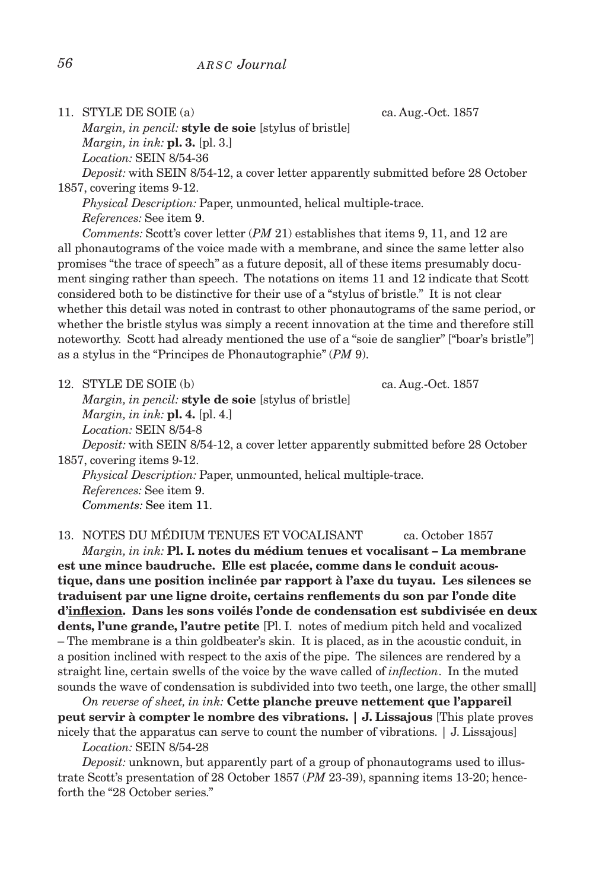11. STYLE DE SOIE (a) ca. Aug.-Oct. 1857

*Margin, in pencil:* **style de soie** [stylus of bristle] *Margin, in ink:* **pl. 3.** [pl. 3.] *Location:* SEIN 8/54-36

*Deposit:* with SEIN 8/54-12, a cover letter apparently submitted before 28 October 1857, covering items 9-12.

*Physical Description:* Paper, unmounted, helical multiple-trace. *References:* See item 9.

*Comments:* Scott's cover letter (*PM* 21) establishes that items 9, 11, and 12 are all phonautograms of the voice made with a membrane, and since the same letter also promises "the trace of speech" as a future deposit, all of these items presumably document singing rather than speech. The notations on items 11 and 12 indicate that Scott considered both to be distinctive for their use of a "stylus of bristle." It is not clear whether this detail was noted in contrast to other phonautograms of the same period, or whether the bristle stylus was simply a recent innovation at the time and therefore still noteworthy. Scott had already mentioned the use of a "soie de sanglier" ["boar's bristle"] as a stylus in the "Principes de Phonautographie" (*PM* 9).

12. STYLE DE SOIE (b) ca. Aug.-Oct. 1857 *Margin, in pencil:* **style de soie** [stylus of bristle] *Margin, in ink:* **pl. 4.** [pl. 4.] *Location:* SEIN 8/54-8 *Deposit:* with SEIN 8/54-12, a cover letter apparently submitted before 28 October 1857, covering items 9-12. *Physical Description:* Paper, unmounted, helical multiple-trace. *References:* See item 9.

*Comments:* See item 11.

13. NOTES DU MÉDIUM TENUES ET VOCALISANT ca. October 1857

*Margin, in ink:* **Pl. I. notes du médium tenues et vocalisant – La membrane est une mince baudruche. Elle est placée, comme dans le conduit acoustique, dans une position inclinée par rapport à l'axe du tuyau. Les silences se traduisent par une ligne droite, certains renflements du son par l'onde dite d'inflexion. Dans les sons voilés l'onde de condensation est subdivisée en deux dents, l'une grande, l'autre petite** [Pl. I. notes of medium pitch held and vocalized – The membrane is a thin goldbeater's skin. It is placed, as in the acoustic conduit, in a position inclined with respect to the axis of the pipe. The silences are rendered by a straight line, certain swells of the voice by the wave called of *inflection*. In the muted sounds the wave of condensation is subdivided into two teeth, one large, the other small]

*On reverse of sheet, in ink:* **Cette planche preuve nettement que l'appareil peut servir à compter le nombre des vibrations. | J. Lissajous** [This plate proves nicely that the apparatus can serve to count the number of vibrations. | J. Lissajous]

*Location:* SEIN 8/54-28

*Deposit:* unknown, but apparently part of a group of phonautograms used to illustrate Scott's presentation of 28 October 1857 (*PM* 23-39), spanning items 13-20; henceforth the "28 October series."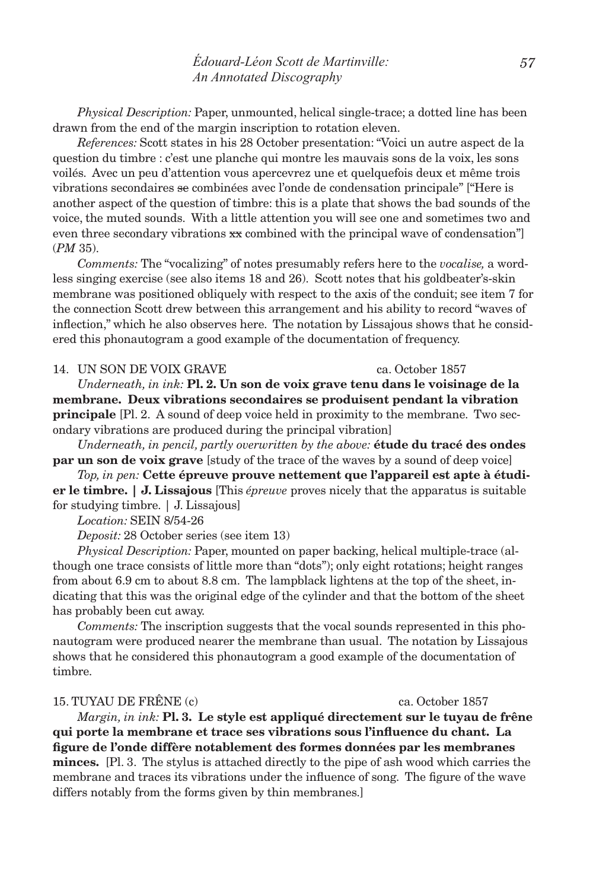*Physical Description:* Paper, unmounted, helical single-trace; a dotted line has been drawn from the end of the margin inscription to rotation eleven.

*References:* Scott states in his 28 October presentation: "Voici un autre aspect de la question du timbre : c'est une planche qui montre les mauvais sons de la voix, les sons voilés. Avec un peu d'attention vous apercevrez une et quelquefois deux et même trois vibrations secondaires se combinées avec l'onde de condensation principale" ["Here is another aspect of the question of timbre: this is a plate that shows the bad sounds of the voice, the muted sounds. With a little attention you will see one and sometimes two and even three secondary vibrations  $\mathbf{x}\mathbf{x}$  combined with the principal wave of condensation" (*PM* 35).

*Comments:* The "vocalizing" of notes presumably refers here to the *vocalise,* a wordless singing exercise (see also items 18 and 26). Scott notes that his goldbeater's-skin membrane was positioned obliquely with respect to the axis of the conduit; see item 7 for the connection Scott drew between this arrangement and his ability to record "waves of inflection," which he also observes here. The notation by Lissajous shows that he considered this phonautogram a good example of the documentation of frequency.

### 14. un son de voix grave ca. October 1857

*Underneath, in ink:* **Pl. 2. Un son de voix grave tenu dans le voisinage de la membrane. Deux vibrations secondaires se produisent pendant la vibration principale** [Pl. 2. A sound of deep voice held in proximity to the membrane. Two secondary vibrations are produced during the principal vibration]

*Underneath, in pencil, partly overwritten by the above:* **étude du tracé des ondes par un son de voix grave** [study of the trace of the waves by a sound of deep voice]

*Top, in pen:* **Cette épreuve prouve nettement que l'appareil est apte à étudier le timbre. | J. Lissajous** [This *épreuve* proves nicely that the apparatus is suitable for studying timbre. | J. Lissajous]

*Location:* SEIN 8/54-26

*Deposit:* 28 October series (see item 13)

*Physical Description:* Paper, mounted on paper backing, helical multiple-trace (although one trace consists of little more than "dots"); only eight rotations; height ranges from about 6.9 cm to about 8.8 cm. The lampblack lightens at the top of the sheet, indicating that this was the original edge of the cylinder and that the bottom of the sheet has probably been cut away.

*Comments:* The inscription suggests that the vocal sounds represented in this phonautogram were produced nearer the membrane than usual. The notation by Lissajous shows that he considered this phonautogram a good example of the documentation of timbre.

### 15. TUYAU DE FRÊNE (c) ca. October 1857

*Margin, in ink:* **Pl. 3. Le style est appliqué directement sur le tuyau de frêne qui porte la membrane et trace ses vibrations sous l'influence du chant. La figure de l'onde diffère notablement des formes données par les membranes minces.** [Pl. 3. The stylus is attached directly to the pipe of ash wood which carries the membrane and traces its vibrations under the influence of song. The figure of the wave differs notably from the forms given by thin membranes.]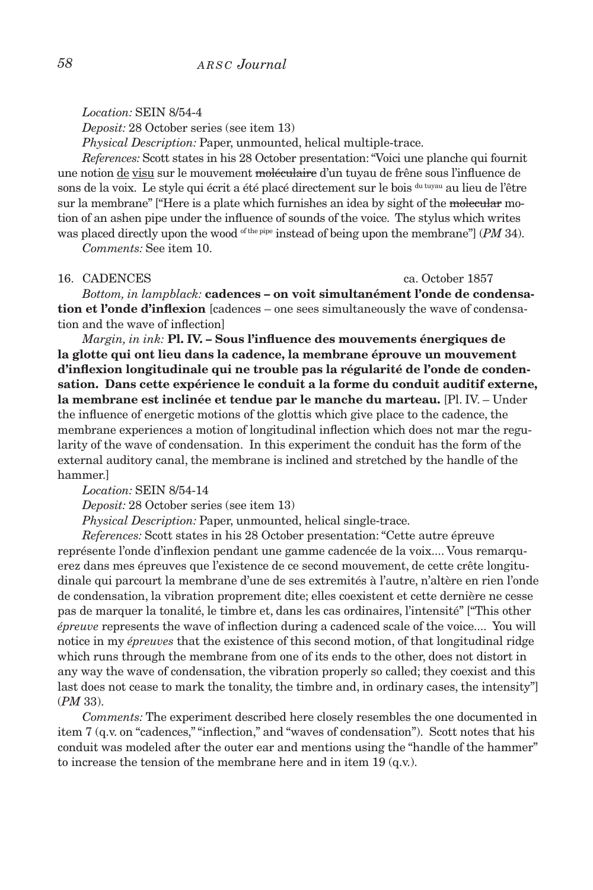*Location:* SEIN 8/54-4

*Deposit:* 28 October series (see item 13)

*Physical Description:* Paper, unmounted, helical multiple-trace.

*References:* Scott states in his 28 October presentation: "Voici une planche qui fournit une notion de visu sur le mouvement moléculaire d'un tuyau de frêne sous l'influence de sons de la voix. Le style qui écrit a été placé directement sur le bois du tuyau au lieu de l'être sur la membrane" ["Here is a plate which furnishes an idea by sight of the molecular motion of an ashen pipe under the influence of sounds of the voice. The stylus which writes was placed directly upon the wood <sup>of the pipe</sup> instead of being upon the membrane"] (*PM* 34).

*Comments:* See item 10.

### 16. CADENCES ca. October 1857

*Bottom, in lampblack:* **cadences – on voit simultanément l'onde de condensation et l'onde d'inflexion** [cadences – one sees simultaneously the wave of condensation and the wave of inflection]

*Margin, in ink:* **Pl. IV. – Sous l'influence des mouvements énergiques de la glotte qui ont lieu dans la cadence, la membrane éprouve un mouvement d'inflexion longitudinale qui ne trouble pas la régularité de l'onde de condensation. Dans cette expérience le conduit a la forme du conduit auditif externe, la membrane est inclinée et tendue par le manche du marteau.** [Pl. IV. – Under the influence of energetic motions of the glottis which give place to the cadence, the membrane experiences a motion of longitudinal inflection which does not mar the regularity of the wave of condensation. In this experiment the conduit has the form of the external auditory canal, the membrane is inclined and stretched by the handle of the hammer.]

*Location:* SEIN 8/54-14

*Deposit:* 28 October series (see item 13)

*Physical Description:* Paper, unmounted, helical single-trace.

*References:* Scott states in his 28 October presentation: "Cette autre épreuve représente l'onde d'inflexion pendant une gamme cadencée de la voix.... Vous remarquerez dans mes épreuves que l'existence de ce second mouvement, de cette crête longitudinale qui parcourt la membrane d'une de ses extremités à l'autre, n'altère en rien l'onde de condensation, la vibration proprement dite; elles coexistent et cette dernière ne cesse pas de marquer la tonalité, le timbre et, dans les cas ordinaires, l'intensité" ["This other *épreuve* represents the wave of inflection during a cadenced scale of the voice.... You will notice in my *épreuves* that the existence of this second motion, of that longitudinal ridge which runs through the membrane from one of its ends to the other, does not distort in any way the wave of condensation, the vibration properly so called; they coexist and this last does not cease to mark the tonality, the timbre and, in ordinary cases, the intensity"] (*PM* 33).

*Comments:* The experiment described here closely resembles the one documented in item 7 (q.v. on "cadences," "inflection," and "waves of condensation"). Scott notes that his conduit was modeled after the outer ear and mentions using the "handle of the hammer" to increase the tension of the membrane here and in item 19 (q.v.).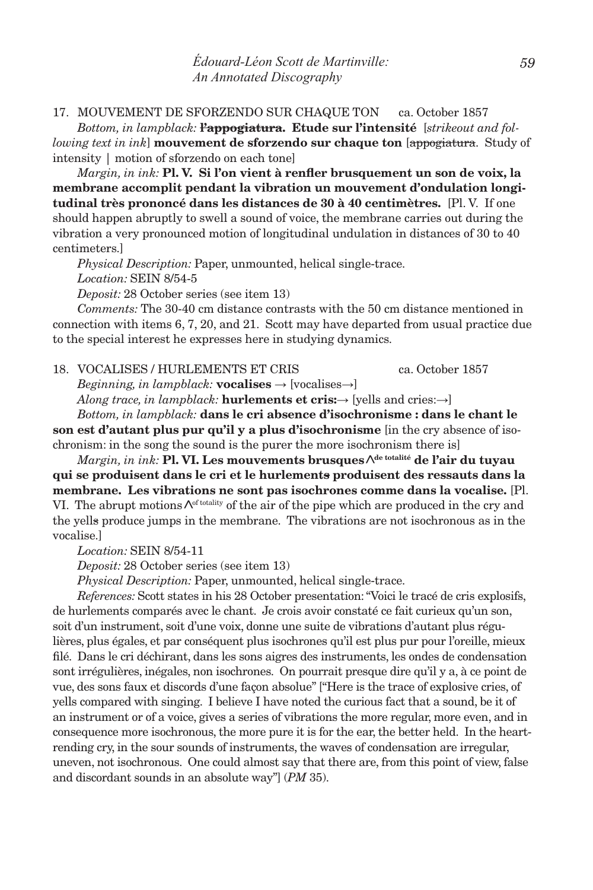### 17. mouvement de sforzendo sur chaque ton ca. October 1857

*Bottom, in lampblack:* **l'appogiatura. Etude sur l'intensité** [*strikeout and following text in ink*] **mouvement de sforzendo sur chaque ton** [appogiatura. Study of intensity | motion of sforzendo on each tone]

*Margin, in ink:* **Pl. V. Si l'on vient à renfler brusquement un son de voix, la membrane accomplit pendant la vibration un mouvement d'ondulation longitudinal très prononcé dans les distances de 30 à 40 centimètres.** [Pl. V. If one should happen abruptly to swell a sound of voice, the membrane carries out during the vibration a very pronounced motion of longitudinal undulation in distances of 30 to 40 centimeters.]

*Physical Description:* Paper, unmounted, helical single-trace.

*Location:* SEIN 8/54-5

*Deposit:* 28 October series (see item 13)

*Comments:* The 30-40 cm distance contrasts with the 50 cm distance mentioned in connection with items 6, 7, 20, and 21. Scott may have departed from usual practice due to the special interest he expresses here in studying dynamics.

18. vocalises / hurlements et cris ca. October 1857

*Beginning, in lampblack:* **vocalises**  $\rightarrow$  [vocalises $\rightarrow$ ] *Along trace, in lampblack:* **hurlements et cris:→** [yells and cries:**→**]

*Bottom, in lampblack:* **dans le cri absence d'isochronisme : dans le chant le son est d'autant plus pur qu'il y a plus d'isochronisme** [in the cry absence of isochronism: in the song the sound is the purer the more isochronism there is]

 $\emph{Margin}, \emph{in ink:}$  **Pl. VI. Les mouvements brusques**  $\Lambda^{\text{de totalité}}$  **de l'air du tuyau qui se produisent dans le cri et le hurlements produisent des ressauts dans la membrane. Les vibrations ne sont pas isochrones comme dans la vocalise.** [Pl. VI. The abrupt motions  $\Lambda^{\text{of totality}}$  of the air of the pipe which are produced in the cry and the yells produce jumps in the membrane. The vibrations are not isochronous as in the vocalise.]

*Location:* SEIN 8/54-11

*Deposit:* 28 October series (see item 13)

*Physical Description:* Paper, unmounted, helical single-trace.

*References:* Scott states in his 28 October presentation: "Voici le tracé de cris explosifs, de hurlements comparés avec le chant. Je crois avoir constaté ce fait curieux qu'un son, soit d'un instrument, soit d'une voix, donne une suite de vibrations d'autant plus régulières, plus égales, et par conséquent plus isochrones qu'il est plus pur pour l'oreille, mieux filé. Dans le cri déchirant, dans les sons aigres des instruments, les ondes de condensation sont irrégulières, inégales, non isochrones. On pourrait presque dire qu'il y a, à ce point de vue, des sons faux et discords d'une façon absolue" ["Here is the trace of explosive cries, of yells compared with singing. I believe I have noted the curious fact that a sound, be it of an instrument or of a voice, gives a series of vibrations the more regular, more even, and in consequence more isochronous, the more pure it is for the ear, the better held. In the heartrending cry, in the sour sounds of instruments, the waves of condensation are irregular, uneven, not isochronous. One could almost say that there are, from this point of view, false and discordant sounds in an absolute way"] (*PM* 35).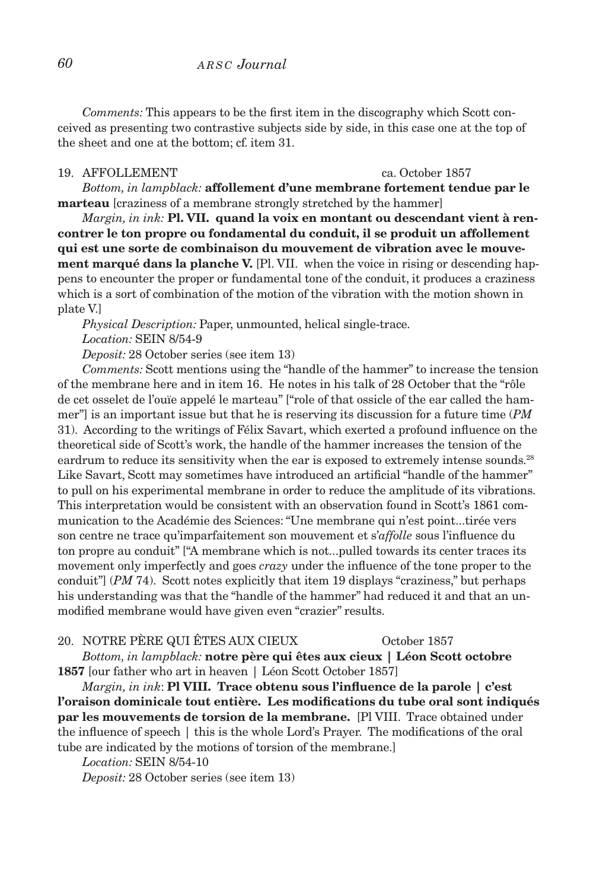*Comments:* This appears to be the first item in the discography which Scott conceived as presenting two contrastive subjects side by side, in this case one at the top of the sheet and one at the bottom; cf. item 31.

### 19. AFFOLLEMENT ca. October 1857

*Bottom, in lampblack:* **affollement d'une membrane fortement tendue par le marteau** [craziness of a membrane strongly stretched by the hammer]

*Margin, in ink:* **Pl. VII. quand la voix en montant ou descendant vient à rencontrer le ton propre ou fondamental du conduit, il se produit un affollement qui est une sorte de combinaison du mouvement de vibration avec le mouvement marqué dans la planche V.** [Pl. VII. when the voice in rising or descending happens to encounter the proper or fundamental tone of the conduit, it produces a craziness which is a sort of combination of the motion of the vibration with the motion shown in plate V.]

*Physical Description:* Paper, unmounted, helical single-trace. *Location:* SEIN 8/54-9

*Deposit:* 28 October series (see item 13)

*Comments:* Scott mentions using the "handle of the hammer" to increase the tension of the membrane here and in item 16. He notes in his talk of 28 October that the "rôle de cet osselet de l'ouïe appelé le marteau" ["role of that ossicle of the ear called the hammer"] is an important issue but that he is reserving its discussion for a future time (*PM* 31). According to the writings of Félix Savart, which exerted a profound influence on the theoretical side of Scott's work, the handle of the hammer increases the tension of the eardrum to reduce its sensitivity when the ear is exposed to extremely intense sounds.<sup>28</sup> Like Savart, Scott may sometimes have introduced an artificial "handle of the hammer" to pull on his experimental membrane in order to reduce the amplitude of its vibrations. This interpretation would be consistent with an observation found in Scott's 1861 communication to the Académie des Sciences: "Une membrane qui n'est point...tirée vers son centre ne trace qu'imparfaitement son mouvement et s'*affolle* sous l'influence du ton propre au conduit" ["A membrane which is not...pulled towards its center traces its movement only imperfectly and goes *crazy* under the influence of the tone proper to the conduit"] (*PM* 74). Scott notes explicitly that item 19 displays "craziness," but perhaps his understanding was that the "handle of the hammer" had reduced it and that an unmodified membrane would have given even "crazier" results.

### 20. notre père qui êtes aux cieux October 1857

*Bottom, in lampblack:* **notre père qui êtes aux cieux | Léon Scott octobre 1857** [our father who art in heaven | Léon Scott October 1857]

*Margin, in ink*: **Pl VIII. Trace obtenu sous l'influence de la parole | c'est l'oraison dominicale tout entière. Les modifications du tube oral sont indiqués par les mouvements de torsion de la membrane.** [Pl VIII. Trace obtained under the influence of speech | this is the whole Lord's Prayer. The modifications of the oral tube are indicated by the motions of torsion of the membrane.]

*Location:* SEIN 8/54-10

*Deposit:* 28 October series (see item 13)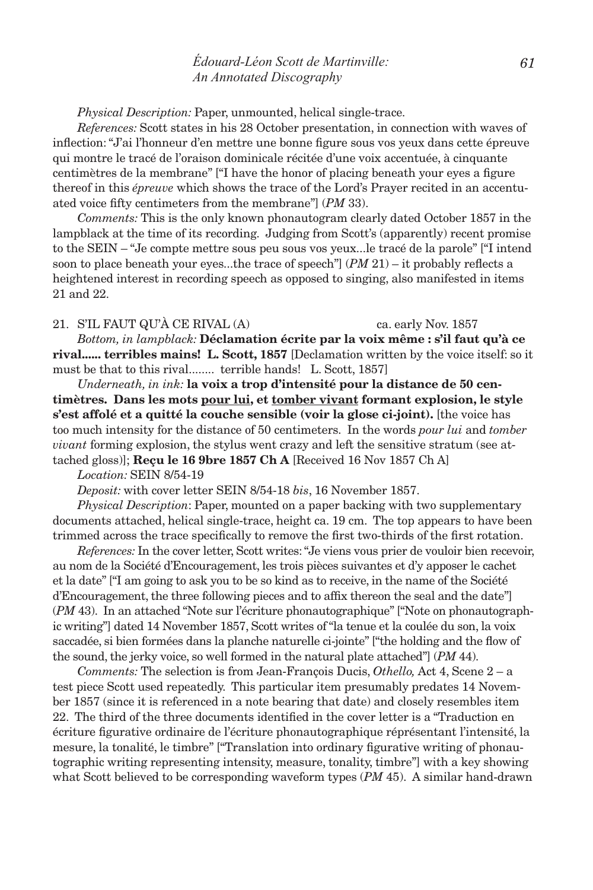# *édouard-Léon Scott de Martinville: An Annotated Discography*

*Physical Description:* Paper, unmounted, helical single-trace.

*References:* Scott states in his 28 October presentation, in connection with waves of inflection: "J'ai l'honneur d'en mettre une bonne figure sous vos yeux dans cette épreuve qui montre le tracé de l'oraison dominicale récitée d'une voix accentuée, à cinquante centimètres de la membrane" ["I have the honor of placing beneath your eyes a figure thereof in this *épreuve* which shows the trace of the Lord's Prayer recited in an accentuated voice fifty centimeters from the membrane"] (*PM* 33).

*Comments:* This is the only known phonautogram clearly dated October 1857 in the lampblack at the time of its recording. Judging from Scott's (apparently) recent promise to the SEIN – "Je compte mettre sous peu sous vos yeux...le tracé de la parole" ["I intend soon to place beneath your eyes...the trace of speech"] (*PM* 21) – it probably reflects a heightened interest in recording speech as opposed to singing, also manifested in items 21 and 22.

### 21. S'IL FAUT QU'À CE RIVAL (A) ca. early Nov. 1857

*Bottom, in lampblack:* **Déclamation écrite par la voix même : s'il faut qu'à ce rival...... terribles mains! L. Scott, 1857** [Declamation written by the voice itself: so it must be that to this rival........ terrible hands! L. Scott, 1857]

*Underneath, in ink:* **la voix a trop d'intensité pour la distance de 50 centimètres. Dans les mots pour lui, et tomber vivant formant explosion, le style s'est affolé et a quitté la couche sensible (voir la glose ci-joint).** [the voice has too much intensity for the distance of 50 centimeters. In the words *pour lui* and *tomber vivant* forming explosion, the stylus went crazy and left the sensitive stratum (see attached gloss)]; **Reçu le 16 9bre 1857 Ch A** [Received 16 Nov 1857 Ch A]

*Location:* SEIN 8/54-19

*Deposit:* with cover letter SEIN 8/54-18 *bis*, 16 November 1857.

*Physical Description*: Paper, mounted on a paper backing with two supplementary documents attached, helical single-trace, height ca. 19 cm. The top appears to have been trimmed across the trace specifically to remove the first two-thirds of the first rotation.

*References:* In the cover letter, Scott writes: "Je viens vous prier de vouloir bien recevoir, au nom de la Société d'Encouragement, les trois pièces suivantes et d'y apposer le cachet et la date" ["I am going to ask you to be so kind as to receive, in the name of the Société d'Encouragement, the three following pieces and to affix thereon the seal and the date"] (*PM* 43). In an attached "Note sur l'écriture phonautographique" ["Note on phonautographic writing"] dated 14 November 1857, Scott writes of "la tenue et la coulée du son, la voix saccadée, si bien formées dans la planche naturelle ci-jointe" ["the holding and the flow of the sound, the jerky voice, so well formed in the natural plate attached"] (*PM* 44).

*Comments:* The selection is from Jean-François Ducis, *Othello,* Act 4, Scene 2 – a test piece Scott used repeatedly. This particular item presumably predates 14 November 1857 (since it is referenced in a note bearing that date) and closely resembles item 22. The third of the three documents identified in the cover letter is a "Traduction en écriture figurative ordinaire de l'écriture phonautographique réprésentant l'intensité, la mesure, la tonalité, le timbre" ["Translation into ordinary figurative writing of phonautographic writing representing intensity, measure, tonality, timbre"] with a key showing what Scott believed to be corresponding waveform types (*PM* 45). A similar hand-drawn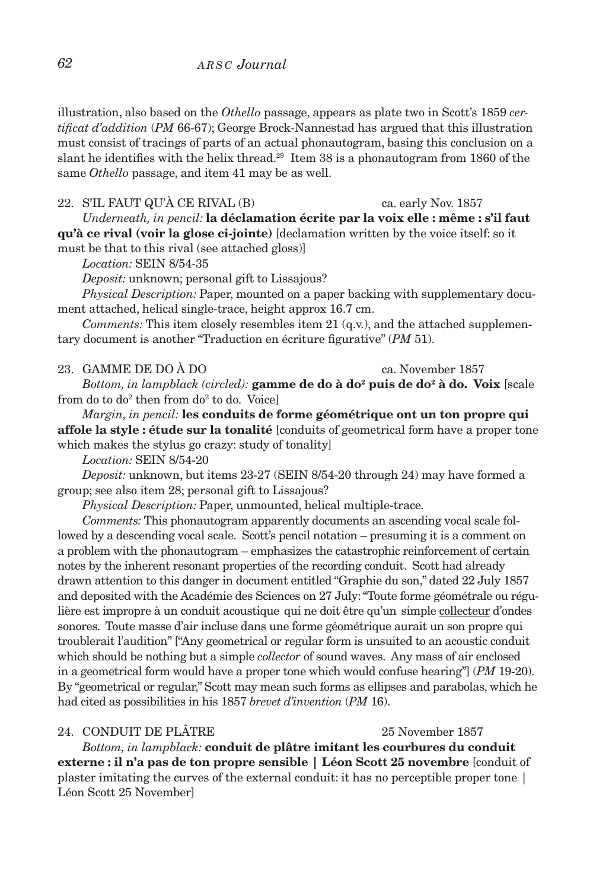illustration, also based on the *Othello* passage, appears as plate two in Scott's 1859 *certificat d'addition* (*PM* 66-67); George Brock-Nannestad has argued that this illustration must consist of tracings of parts of an actual phonautogram, basing this conclusion on a slant he identifies with the helix thread.<sup>29</sup> Item 38 is a phonautogram from 1860 of the same *Othello* passage, and item 41 may be as well.

22. S'IL FAUT QU'À CE RIVAL (B) ca. early Nov. 1857 *Underneath, in pencil:* **la déclamation écrite par la voix elle : même : s'il faut qu'à ce rival (voir la glose ci-jointe)** [declamation written by the voice itself: so it must be that to this rival (see attached gloss)]

*Location:* SEIN 8/54-35

*Deposit:* unknown; personal gift to Lissajous?

*Physical Description:* Paper, mounted on a paper backing with supplementary document attached, helical single-trace, height approx 16.7 cm.

*Comments:* This item closely resembles item 21 (q.v.), and the attached supplementary document is another "Traduction en écriture figurative" (*PM* 51).

### 23. GAMME DE DO À DO ca. November 1857

*Bottom, in lampblack (circled):* **gamme de do à do2 puis de do2 à do. Voix** [scale from do to do $^2$  then from do $^2$  to do. Voice]

*Margin, in pencil:* **les conduits de forme géométrique ont un ton propre qui affole la style : étude sur la tonalité** [conduits of geometrical form have a proper tone which makes the stylus go crazy: study of tonality]

*Location:* SEIN 8/54-20

*Deposit:* unknown, but items 23-27 (SEIN 8/54-20 through 24) may have formed a group; see also item 28; personal gift to Lissajous?

*Physical Description:* Paper, unmounted, helical multiple-trace.

*Comments:* This phonautogram apparently documents an ascending vocal scale followed by a descending vocal scale. Scott's pencil notation – presuming it is a comment on a problem with the phonautogram – emphasizes the catastrophic reinforcement of certain notes by the inherent resonant properties of the recording conduit. Scott had already drawn attention to this danger in document entitled "Graphie du son," dated 22 July 1857 and deposited with the Académie des Sciences on 27 July: "Toute forme géométrale ou régulière est impropre à un conduit acoustique qui ne doit être qu'un simple collecteur d'ondes sonores. Toute masse d'air incluse dans une forme géométrique aurait un son propre qui troublerait l'audition" ["Any geometrical or regular form is unsuited to an acoustic conduit which should be nothing but a simple *collector* of sound waves. Any mass of air enclosed in a geometrical form would have a proper tone which would confuse hearing"] (*PM* 19-20). By "geometrical or regular," Scott may mean such forms as ellipses and parabolas, which he had cited as possibilities in his 1857 *brevet d'invention* (*PM* 16).

### 24. CONDUIT DE PLÂTRE 25 November 1857

*Bottom, in lampblack:* **conduit de plâtre imitant les courbures du conduit externe : il n'a pas de ton propre sensible | Léon Scott 25 novembre** [conduit of plaster imitating the curves of the external conduit: it has no perceptible proper tone | Léon Scott 25 November]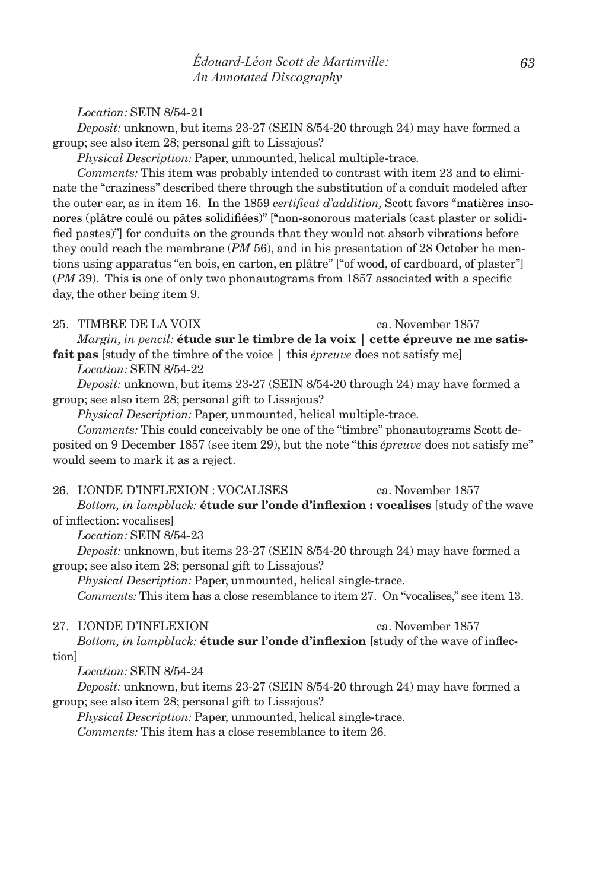*édouard-Léon Scott de Martinville: An Annotated Discography*

*Location:* SEIN 8/54-21

*Deposit:* unknown, but items 23-27 (SEIN 8/54-20 through 24) may have formed a group; see also item 28; personal gift to Lissajous?

*Physical Description:* Paper, unmounted, helical multiple-trace.

*Comments:* This item was probably intended to contrast with item 23 and to eliminate the "craziness" described there through the substitution of a conduit modeled after the outer ear, as in item 16. In the 1859 *certificat d'addition,* Scott favors "matières insonores (plâtre coulé ou pâtes solidifiées)" ["non-sonorous materials (cast plaster or solidified pastes)"] for conduits on the grounds that they would not absorb vibrations before they could reach the membrane (*PM* 56), and in his presentation of 28 October he mentions using apparatus "en bois, en carton, en plâtre" ["of wood, of cardboard, of plaster"] (*PM* 39). This is one of only two phonautograms from 1857 associated with a specific day, the other being item 9.

# 25. TIMBRE DE LA VOIX ca. November 1857

*Margin, in pencil:* **étude sur le timbre de la voix | cette épreuve ne me satis-**

**fait pas** [study of the timbre of the voice | this *épreuve* does not satisfy me] *Location:* SEIN 8/54-22

*Deposit:* unknown, but items 23-27 (SEIN 8/54-20 through 24) may have formed a group; see also item 28; personal gift to Lissajous?

*Physical Description:* Paper, unmounted, helical multiple-trace.

*Comments:* This could conceivably be one of the "timbre" phonautograms Scott deposited on 9 December 1857 (see item 29), but the note "this *épreuve* does not satisfy me" would seem to mark it as a reject.

### 26. l'onde d'inflexion : vocalises ca. November 1857

*Bottom, in lampblack:* **étude sur l'onde d'inflexion : vocalises** [study of the wave of inflection: vocalises]

*Location:* SEIN 8/54-23

*Deposit:* unknown, but items 23-27 (SEIN 8/54-20 through 24) may have formed a group; see also item 28; personal gift to Lissajous?

*Physical Description:* Paper, unmounted, helical single-trace.

*Comments:* This item has a close resemblance to item 27. On "vocalises," see item 13.

### 27. l'onde d'inflexion ca. November 1857

*Bottom, in lampblack:* **étude sur l'onde d'inflexion** [study of the wave of inflection]

*Location:* SEIN 8/54-24

*Deposit:* unknown, but items 23-27 (SEIN 8/54-20 through 24) may have formed a group; see also item 28; personal gift to Lissajous?

*Physical Description:* Paper, unmounted, helical single-trace.

*Comments:* This item has a close resemblance to item 26.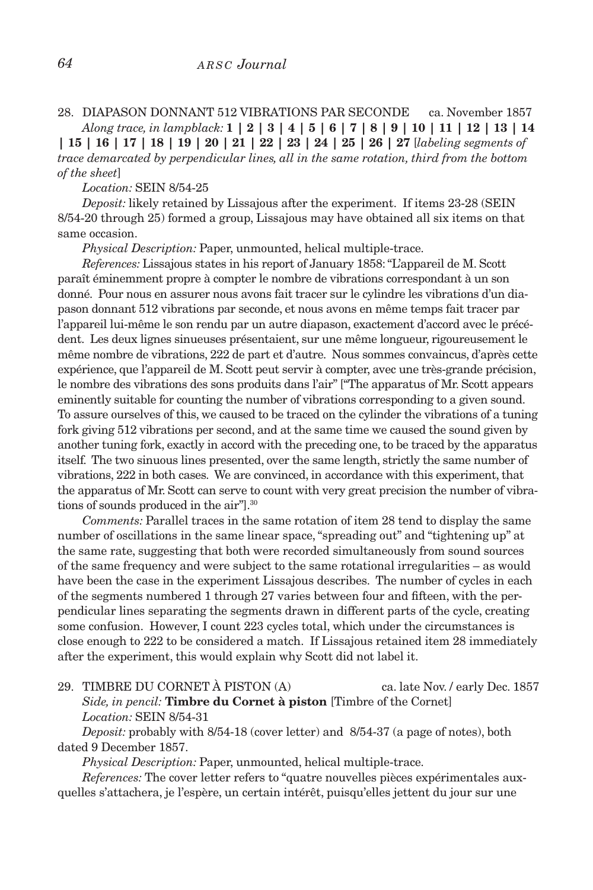# 28. diapason donnant 512 vibrations par seconde ca. November 1857 *Along trace, in lampblack:* **1 | 2 | 3 | 4 | 5 | 6 | 7 | 8 | 9 | 10 | 11 | 12 | 13 | 14**

**| 15 | 16 | 17 | 18 | 19 | 20 | 21 | 22 | 23 | 24 | 25 | 26 | 27** [*labeling segments of trace demarcated by perpendicular lines, all in the same rotation, third from the bottom of the sheet*]

*Location:* SEIN 8/54-25

*Deposit:* likely retained by Lissajous after the experiment. If items 23-28 (SEIN 8/54-20 through 25) formed a group, Lissajous may have obtained all six items on that same occasion.

*Physical Description:* Paper, unmounted, helical multiple-trace.

*References:* Lissajous states in his report of January 1858: "L'appareil de M. Scott paraît éminemment propre à compter le nombre de vibrations correspondant à un son donné. Pour nous en assurer nous avons fait tracer sur le cylindre les vibrations d'un diapason donnant 512 vibrations par seconde, et nous avons en même temps fait tracer par l'appareil lui-même le son rendu par un autre diapason, exactement d'accord avec le précédent. Les deux lignes sinueuses présentaient, sur une même longueur, rigoureusement le même nombre de vibrations, 222 de part et d'autre. Nous sommes convaincus, d'après cette expérience, que l'appareil de M. Scott peut servir à compter, avec une très-grande précision, le nombre des vibrations des sons produits dans l'air" ["The apparatus of Mr. Scott appears eminently suitable for counting the number of vibrations corresponding to a given sound. To assure ourselves of this, we caused to be traced on the cylinder the vibrations of a tuning fork giving 512 vibrations per second, and at the same time we caused the sound given by another tuning fork, exactly in accord with the preceding one, to be traced by the apparatus itself. The two sinuous lines presented, over the same length, strictly the same number of vibrations, 222 in both cases. We are convinced, in accordance with this experiment, that the apparatus of Mr. Scott can serve to count with very great precision the number of vibrations of sounds produced in the air"].30

*Comments:* Parallel traces in the same rotation of item 28 tend to display the same number of oscillations in the same linear space, "spreading out" and "tightening up" at the same rate, suggesting that both were recorded simultaneously from sound sources of the same frequency and were subject to the same rotational irregularities – as would have been the case in the experiment Lissajous describes. The number of cycles in each of the segments numbered 1 through 27 varies between four and fifteen, with the perpendicular lines separating the segments drawn in different parts of the cycle, creating some confusion. However, I count 223 cycles total, which under the circumstances is close enough to 222 to be considered a match. If Lissajous retained item 28 immediately after the experiment, this would explain why Scott did not label it.

29. TIMBRE DU CORNET À PISTON (A) ca. late Nov. / early Dec. 1857 *Side, in pencil:* **Timbre du Cornet à piston** [Timbre of the Cornet] *Location:* SEIN 8/54-31

*Deposit:* probably with 8/54-18 (cover letter) and 8/54-37 (a page of notes), both dated 9 December 1857.

*Physical Description:* Paper, unmounted, helical multiple-trace.

*References:* The cover letter refers to "quatre nouvelles pièces expérimentales auxquelles s'attachera, je l'espère, un certain intérêt, puisqu'elles jettent du jour sur une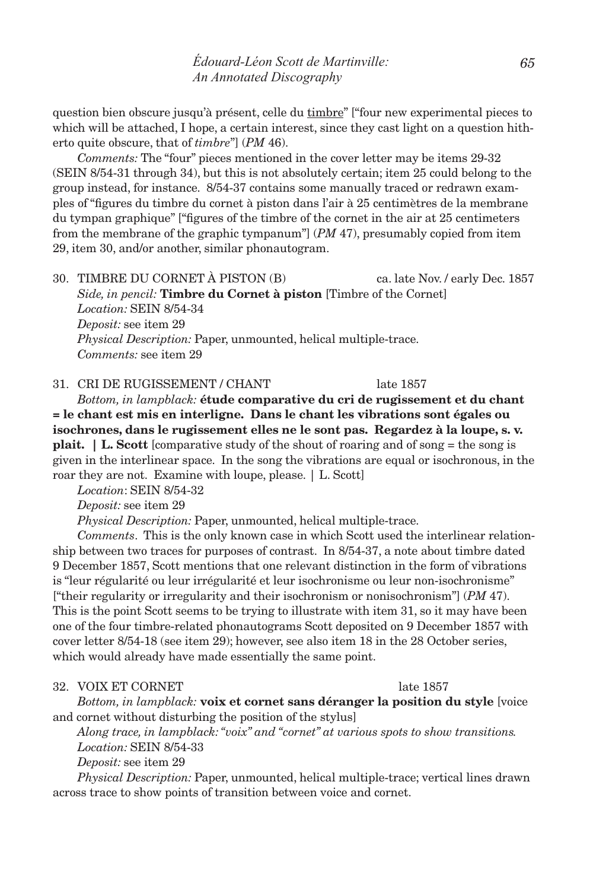question bien obscure jusqu'à présent, celle du timbre" ["four new experimental pieces to which will be attached, I hope, a certain interest, since they cast light on a question hitherto quite obscure, that of *timbre*"] (*PM* 46).

*Comments:* The "four" pieces mentioned in the cover letter may be items 29-32 (SEIN 8/54-31 through 34), but this is not absolutely certain; item 25 could belong to the group instead, for instance. 8/54-37 contains some manually traced or redrawn examples of "figures du timbre du cornet à piston dans l'air à 25 centimètres de la membrane du tympan graphique" ["figures of the timbre of the cornet in the air at 25 centimeters from the membrane of the graphic tympanum"] (*PM* 47), presumably copied from item 29, item 30, and/or another, similar phonautogram.

30. timbre du cornet à piston (b) ca. late Nov. / early Dec. 1857 *Side, in pencil:* **Timbre du Cornet à piston** [Timbre of the Cornet] *Location:* SEIN 8/54-34 *Deposit:* see item 29 *Physical Description:* Paper, unmounted, helical multiple-trace. *Comments:* see item 29

31. CRI DE RUGISSEMENT / CHANT late 1857

*Bottom, in lampblack:* **étude comparative du cri de rugissement et du chant = le chant est mis en interligne. Dans le chant les vibrations sont égales ou isochrones, dans le rugissement elles ne le sont pas. Regardez à la loupe, s. v. plait.** | L. Scott [comparative study of the shout of roaring and of song = the song is given in the interlinear space. In the song the vibrations are equal or isochronous, in the roar they are not. Examine with loupe, please. | L. Scott]

*Location*: SEIN 8/54-32

*Deposit:* see item 29

*Physical Description:* Paper, unmounted, helical multiple-trace.

*Comments*. This is the only known case in which Scott used the interlinear relationship between two traces for purposes of contrast. In 8/54-37, a note about timbre dated 9 December 1857, Scott mentions that one relevant distinction in the form of vibrations is "leur régularité ou leur irrégularité et leur isochronisme ou leur non-isochronisme" ["their regularity or irregularity and their isochronism or nonisochronism"] (*PM* 47). This is the point Scott seems to be trying to illustrate with item 31, so it may have been one of the four timbre-related phonautograms Scott deposited on 9 December 1857 with cover letter 8/54-18 (see item 29); however, see also item 18 in the 28 October series, which would already have made essentially the same point.

### 32. VOIX ET CORNET late 1857

*Bottom, in lampblack:* **voix et cornet sans déranger la position du style** [voice and cornet without disturbing the position of the stylus]

*Along trace, in lampblack: "voix" and "cornet" at various spots to show transitions. Location:* SEIN 8/54-33

*Deposit:* see item 29

*Physical Description:* Paper, unmounted, helical multiple-trace; vertical lines drawn across trace to show points of transition between voice and cornet.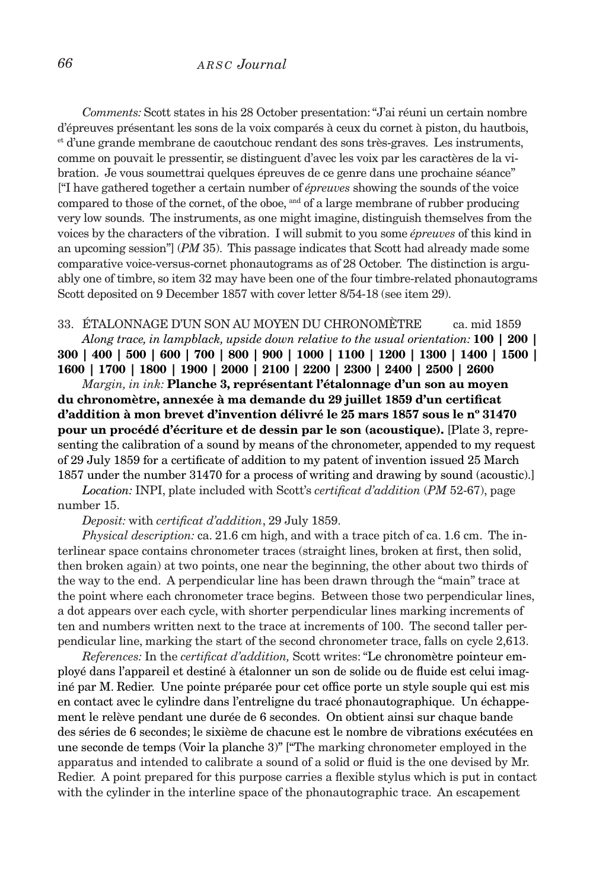# *66 a r s c Journal*

*Comments:* Scott states in his 28 October presentation: "J'ai réuni un certain nombre d'épreuves présentant les sons de la voix comparés à ceux du cornet à piston, du hautbois, et d'une grande membrane de caoutchouc rendant des sons très-graves. Les instruments, comme on pouvait le pressentir, se distinguent d'avec les voix par les caractères de la vibration. Je vous soumettrai quelques épreuves de ce genre dans une prochaine séance" ["I have gathered together a certain number of *épreuves* showing the sounds of the voice compared to those of the cornet, of the oboe, and of a large membrane of rubber producing very low sounds. The instruments, as one might imagine, distinguish themselves from the voices by the characters of the vibration. I will submit to you some *épreuves* of this kind in an upcoming session"] (*PM* 35). This passage indicates that Scott had already made some comparative voice-versus-cornet phonautograms as of 28 October. The distinction is arguably one of timbre, so item 32 may have been one of the four timbre-related phonautograms Scott deposited on 9 December 1857 with cover letter 8/54-18 (see item 29).

33. étalonnage d'un son au moyen du chronomètre ca. mid 1859 *Along trace, in lampblack, upside down relative to the usual orientation:* **100 | 200 | 300 | 400 | 500 | 600 | 700 | 800 | 900 | 1000 | 1100 | 1200 | 1300 | 1400 | 1500 | 1600 | 1700 | 1800 | 1900 | 2000 | 2100 | 2200 | 2300 | 2400 | 2500 | 2600**

*Margin, in ink:* **Planche 3, représentant l'étalonnage d'un son au moyen du chronomètre, annexée à ma demande du 29 juillet 1859 d'un certificat d'addition à mon brevet d'invention délivré le 25 mars 1857 sous le nº 31470 pour un procédé d'écriture et de dessin par le son (acoustique).** [Plate 3, representing the calibration of a sound by means of the chronometer, appended to my request of 29 July 1859 for a certificate of addition to my patent of invention issued 25 March 1857 under the number 31470 for a process of writing and drawing by sound (acoustic).]

*Location:* INPI, plate included with Scott's *certificat d'addition* (*PM* 52-67), page number 15.

*Deposit:* with *certificat d'addition*, 29 July 1859.

*Physical description:* ca. 21.6 cm high, and with a trace pitch of ca. 1.6 cm. The interlinear space contains chronometer traces (straight lines, broken at first, then solid, then broken again) at two points, one near the beginning, the other about two thirds of the way to the end. A perpendicular line has been drawn through the "main" trace at the point where each chronometer trace begins. Between those two perpendicular lines, a dot appears over each cycle, with shorter perpendicular lines marking increments of ten and numbers written next to the trace at increments of 100. The second taller perpendicular line, marking the start of the second chronometer trace, falls on cycle 2,613.

*References:* In the *certificat d'addition,* Scott writes: "Le chronomètre pointeur employé dans l'appareil et destiné à étalonner un son de solide ou de fluide est celui imaginé par M. Redier. Une pointe préparée pour cet office porte un style souple qui est mis en contact avec le cylindre dans l'entreligne du tracé phonautographique. Un échappement le relève pendant une durée de 6 secondes. On obtient ainsi sur chaque bande des séries de 6 secondes; le sixième de chacune est le nombre de vibrations exécutées en une seconde de temps (Voir la planche 3)" ["The marking chronometer employed in the apparatus and intended to calibrate a sound of a solid or fluid is the one devised by Mr. Redier. A point prepared for this purpose carries a flexible stylus which is put in contact with the cylinder in the interline space of the phonautographic trace. An escapement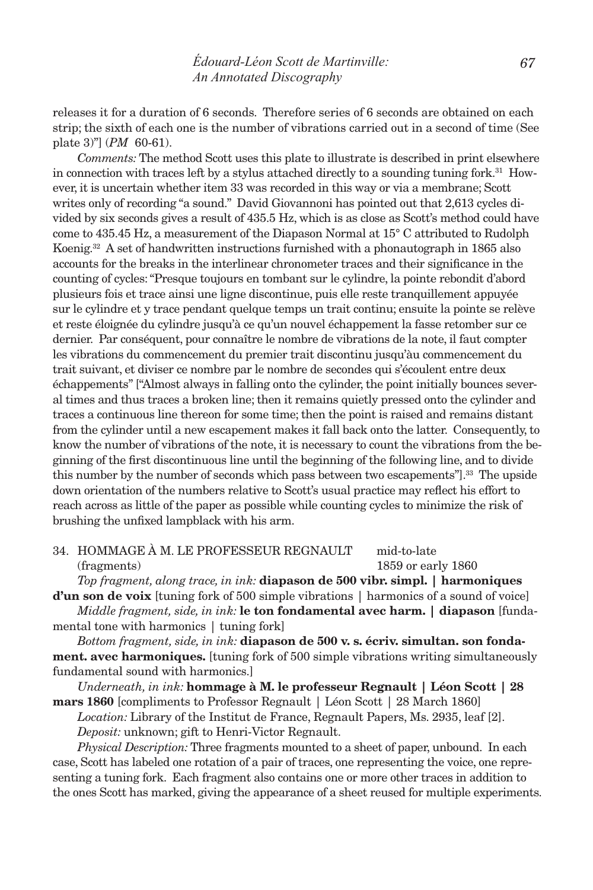releases it for a duration of 6 seconds. Therefore series of 6 seconds are obtained on each strip; the sixth of each one is the number of vibrations carried out in a second of time (See plate 3)"] (*PM* 60-61).

*Comments:* The method Scott uses this plate to illustrate is described in print elsewhere in connection with traces left by a stylus attached directly to a sounding tuning for  $k^{31}$ . However, it is uncertain whether item 33 was recorded in this way or via a membrane; Scott writes only of recording "a sound." David Giovannoni has pointed out that 2,613 cycles divided by six seconds gives a result of 435.5 Hz, which is as close as Scott's method could have come to 435.45 Hz, a measurement of the Diapason Normal at 15° C attributed to Rudolph Koenig.<sup>32</sup> A set of handwritten instructions furnished with a phonautograph in 1865 also accounts for the breaks in the interlinear chronometer traces and their significance in the counting of cycles: "Presque toujours en tombant sur le cylindre, la pointe rebondit d'abord plusieurs fois et trace ainsi une ligne discontinue, puis elle reste tranquillement appuyée sur le cylindre et y trace pendant quelque temps un trait continu; ensuite la pointe se relève et reste éloignée du cylindre jusqu'à ce qu'un nouvel échappement la fasse retomber sur ce dernier. Par conséquent, pour connaître le nombre de vibrations de la note, il faut compter les vibrations du commencement du premier trait discontinu jusqu'àu commencement du trait suivant, et diviser ce nombre par le nombre de secondes qui s'écoulent entre deux échappements" ["Almost always in falling onto the cylinder, the point initially bounces several times and thus traces a broken line; then it remains quietly pressed onto the cylinder and traces a continuous line thereon for some time; then the point is raised and remains distant from the cylinder until a new escapement makes it fall back onto the latter. Consequently, to know the number of vibrations of the note, it is necessary to count the vibrations from the beginning of the first discontinuous line until the beginning of the following line, and to divide this number by the number of seconds which pass between two escapements".<sup>33</sup> The upside down orientation of the numbers relative to Scott's usual practice may reflect his effort to reach across as little of the paper as possible while counting cycles to minimize the risk of brushing the unfixed lampblack with his arm.

# 34. hommage à m. le professeur regnault mid-to-late (fragments) 1859 or early 1860

*Top fragment, along trace, in ink:* **diapason de 500 vibr. simpl. | harmoniques** 

**d'un son de voix** [tuning fork of 500 simple vibrations | harmonics of a sound of voice] *Middle fragment, side, in ink:* **le ton fondamental avec harm. | diapason** [fundamental tone with harmonics | tuning fork]

*Bottom fragment, side, in ink:* **diapason de 500 v. s. écriv. simultan. son fondament. avec harmoniques.** [tuning fork of 500 simple vibrations writing simultaneously fundamental sound with harmonics.]

*Underneath, in ink:* **hommage à M. le professeur Regnault | Léon Scott | 28 mars 1860** [compliments to Professor Regnault | Léon Scott | 28 March 1860]

*Location:* Library of the Institut de France, Regnault Papers, Ms. 2935, leaf [2]. *Deposit:* unknown; gift to Henri-Victor Regnault.

*Physical Description:* Three fragments mounted to a sheet of paper, unbound. In each case, Scott has labeled one rotation of a pair of traces, one representing the voice, one representing a tuning fork. Each fragment also contains one or more other traces in addition to the ones Scott has marked, giving the appearance of a sheet reused for multiple experiments.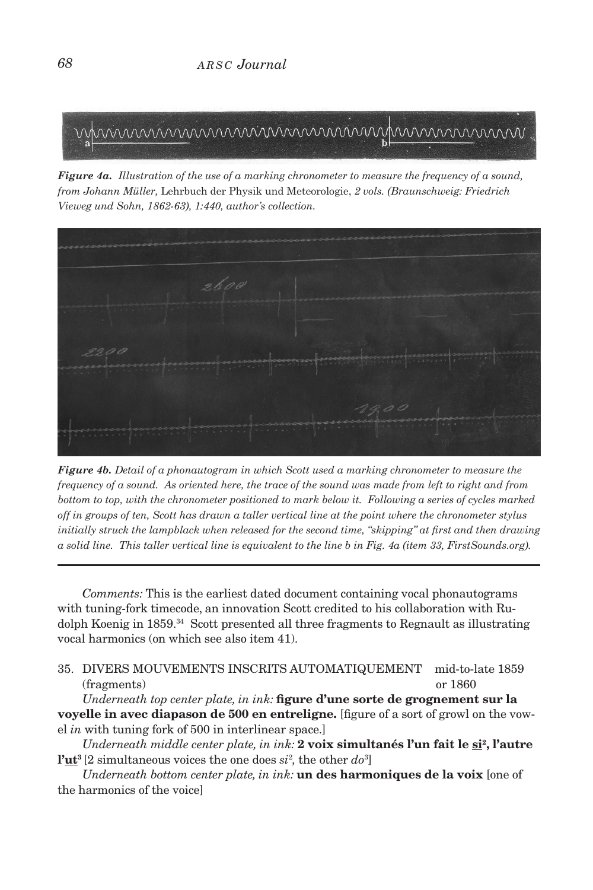

*Figure 4a. Illustration of the use of a marking chronometer to measure the frequency of a sound, from Johann Müller,* Lehrbuch der Physik und Meteorologie, *2 vols. (Braunschweig: Friedrich Vieweg und Sohn, 1862-63), 1:440, author's collection.*



*Figure 4b. Detail of a phonautogram in which Scott used a marking chronometer to measure the frequency of a sound. As oriented here, the trace of the sound was made from left to right and from bottom to top, with the chronometer positioned to mark below it. Following a series of cycles marked off in groups of ten, Scott has drawn a taller vertical line at the point where the chronometer stylus initially struck the lampblack when released for the second time, "skipping" at first and then drawing a solid line. This taller vertical line is equivalent to the line b in Fig. 4a (item 33, FirstSounds.org).*

*Comments:* This is the earliest dated document containing vocal phonautograms with tuning-fork timecode, an innovation Scott credited to his collaboration with Rudolph Koenig in 1859.<sup>34</sup> Scott presented all three fragments to Regnault as illustrating vocal harmonics (on which see also item 41).

35. divers mouvements inscrits automatiquement mid-to-late 1859 (fragments) or 1860

*Underneath top center plate, in ink:* **figure d'une sorte de grognement sur la voyelle in avec diapason de 500 en entreligne.** [figure of a sort of growl on the vowel *in* with tuning fork of 500 in interlinear space.]

*Underneath middle center plate, in ink:* 2 voix simultanés l'un fait le si<sup>2</sup>, l'autre **l'ut3** [2 simultaneous voices the one does *si*<sup>2</sup> *,* the other *do*<sup>3</sup> ]

*Underneath bottom center plate, in ink:* **un des harmoniques de la voix** [one of the harmonics of the voice]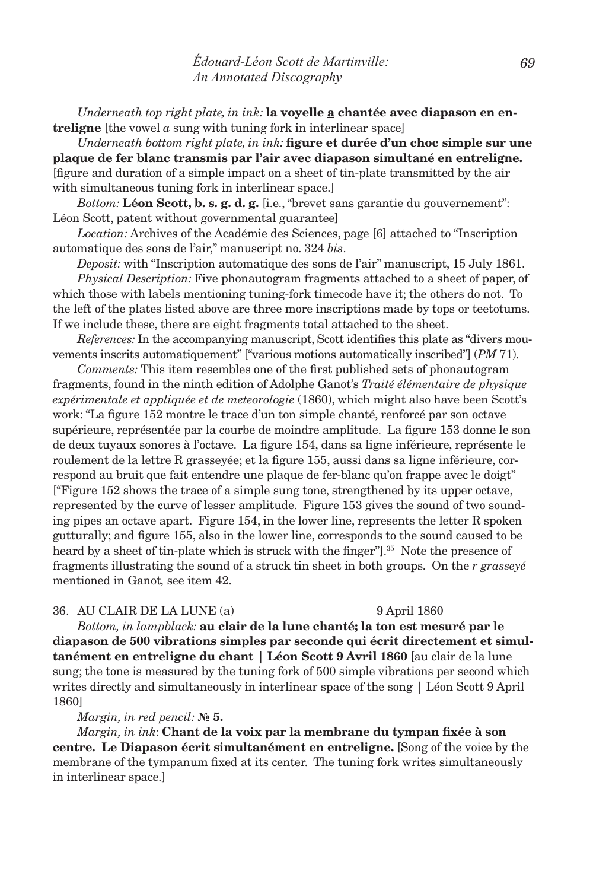*Underneath top right plate, in ink:* **la voyelle a chantée avec diapason en entreligne** [the vowel *a* sung with tuning fork in interlinear space]

*Underneath bottom right plate, in ink:* **figure et durée d'un choc simple sur une plaque de fer blanc transmis par l'air avec diapason simultané en entreligne.** [figure and duration of a simple impact on a sheet of tin-plate transmitted by the air with simultaneous tuning fork in interlinear space.]

*Bottom:* **Léon Scott, b. s. g. d. g.** [i.e., "brevet sans garantie du gouvernement": Léon Scott, patent without governmental guarantee]

*Location:* Archives of the Académie des Sciences, page [6] attached to "Inscription automatique des sons de l'air," manuscript no. 324 *bis*.

*Deposit:* with "Inscription automatique des sons de l'air" manuscript, 15 July 1861.

*Physical Description:* Five phonautogram fragments attached to a sheet of paper, of which those with labels mentioning tuning-fork timecode have it; the others do not. To the left of the plates listed above are three more inscriptions made by tops or teetotums. If we include these, there are eight fragments total attached to the sheet.

*References:* In the accompanying manuscript, Scott identifies this plate as "divers mouvements inscrits automatiquement" ["various motions automatically inscribed"] (*PM* 71).

*Comments:* This item resembles one of the first published sets of phonautogram fragments, found in the ninth edition of Adolphe Ganot's *Traité élémentaire de physique expérimentale et appliquée et de meteorologie* (1860), which might also have been Scott's work: "La figure 152 montre le trace d'un ton simple chanté, renforcé par son octave supérieure, représentée par la courbe de moindre amplitude. La figure 153 donne le son de deux tuyaux sonores à l'octave. La figure 154, dans sa ligne inférieure, représente le roulement de la lettre R grasseyée; et la figure 155, aussi dans sa ligne inférieure, correspond au bruit que fait entendre une plaque de fer-blanc qu'on frappe avec le doigt" ["Figure 152 shows the trace of a simple sung tone, strengthened by its upper octave, represented by the curve of lesser amplitude. Figure 153 gives the sound of two sounding pipes an octave apart. Figure 154, in the lower line, represents the letter R spoken gutturally; and figure 155, also in the lower line, corresponds to the sound caused to be heard by a sheet of tin-plate which is struck with the finger"].<sup>35</sup> Note the presence of fragments illustrating the sound of a struck tin sheet in both groups. On the *r grasseyé*  mentioned in Ganot*,* see item 42.

# 36. au clair de la lune (a) 9 April 1860

*Bottom, in lampblack:* **au clair de la lune chanté; la ton est mesuré par le diapason de 500 vibrations simples par seconde qui écrit directement et simultanément en entreligne du chant | Léon Scott 9 Avril 1860** [au clair de la lune sung; the tone is measured by the tuning fork of 500 simple vibrations per second which writes directly and simultaneously in interlinear space of the song | Léon Scott 9 April 1860]

### *Margin, in red pencil:* **№ 5.**

*Margin, in ink*: **Chant de la voix par la membrane du tympan fixée à son centre. Le Diapason écrit simultanément en entreligne.** [Song of the voice by the membrane of the tympanum fixed at its center. The tuning fork writes simultaneously in interlinear space.]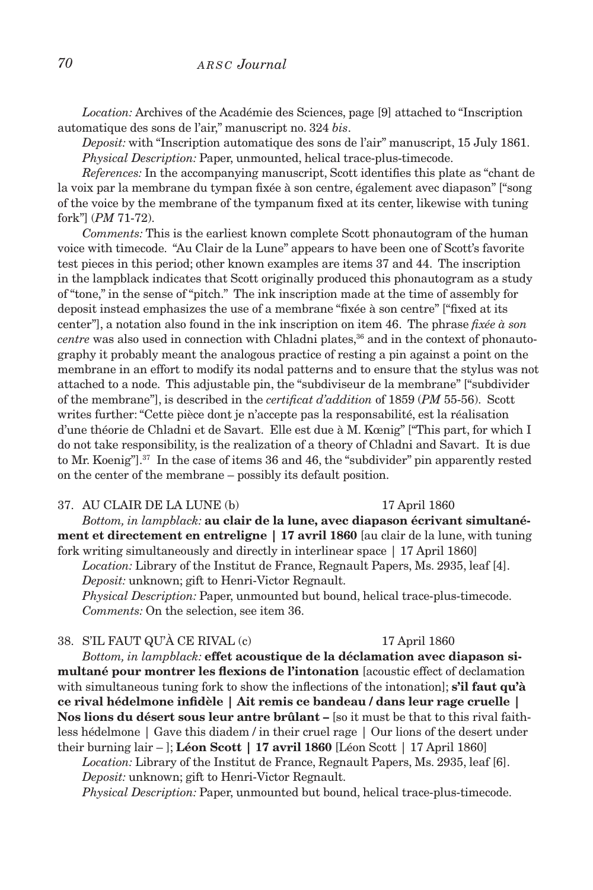*Location:* Archives of the Académie des Sciences, page [9] attached to "Inscription automatique des sons de l'air," manuscript no. 324 *bis*.

*Deposit:* with "Inscription automatique des sons de l'air" manuscript, 15 July 1861. *Physical Description:* Paper, unmounted, helical trace-plus-timecode.

*References:* In the accompanying manuscript, Scott identifies this plate as "chant de la voix par la membrane du tympan fixée à son centre, également avec diapason" ["song of the voice by the membrane of the tympanum fixed at its center, likewise with tuning fork"] (*PM* 71-72).

*Comments:* This is the earliest known complete Scott phonautogram of the human voice with timecode. "Au Clair de la Lune" appears to have been one of Scott's favorite test pieces in this period; other known examples are items 37 and 44. The inscription in the lampblack indicates that Scott originally produced this phonautogram as a study of "tone," in the sense of "pitch." The ink inscription made at the time of assembly for deposit instead emphasizes the use of a membrane "fixée à son centre" ["fixed at its center"], a notation also found in the ink inscription on item 46. The phrase *fixée à son centre* was also used in connection with Chladni plates,<sup>36</sup> and in the context of phonautography it probably meant the analogous practice of resting a pin against a point on the membrane in an effort to modify its nodal patterns and to ensure that the stylus was not attached to a node. This adjustable pin, the "subdiviseur de la membrane" ["subdivider of the membrane"], is described in the *certificat d'addition* of 1859 (*PM* 55-56). Scott writes further: "Cette pièce dont je n'accepte pas la responsabilité, est la réalisation d'une théorie de Chladni et de Savart. Elle est due à M. Kœnig" ["This part, for which I do not take responsibility, is the realization of a theory of Chladni and Savart. It is due to Mr. Koenig"].37 In the case of items 36 and 46, the "subdivider" pin apparently rested on the center of the membrane – possibly its default position.

### 37. AU CLAIR DE LA LUNE (b) 17 April 1860

*Bottom, in lampblack:* **au clair de la lune, avec diapason écrivant simultanément et directement en entreligne | 17 avril 1860** [au clair de la lune, with tuning fork writing simultaneously and directly in interlinear space | 17 April 1860]

*Location:* Library of the Institut de France, Regnault Papers, Ms. 2935, leaf [4]. *Deposit:* unknown; gift to Henri-Victor Regnault.

*Physical Description:* Paper, unmounted but bound, helical trace-plus-timecode. *Comments:* On the selection, see item 36.

38. s'il faut qu'à ce rival (c) 17 April 1860

*Bottom, in lampblack:* **effet acoustique de la déclamation avec diapason simultané pour montrer les flexions de l'intonation** [acoustic effect of declamation with simultaneous tuning fork to show the inflections of the intonation]; **s'il faut qu'à ce rival hédelmone infidèle | Ait remis ce bandeau / dans leur rage cruelle | Nos lions du désert sous leur antre brûlant –** [so it must be that to this rival faithless hédelmone | Gave this diadem / in their cruel rage | Our lions of the desert under their burning lair – ]; **Léon Scott | 17 avril 1860** [Léon Scott | 17 April 1860]

*Location:* Library of the Institut de France, Regnault Papers, Ms. 2935, leaf [6]. *Deposit:* unknown; gift to Henri-Victor Regnault.

*Physical Description:* Paper, unmounted but bound, helical trace-plus-timecode.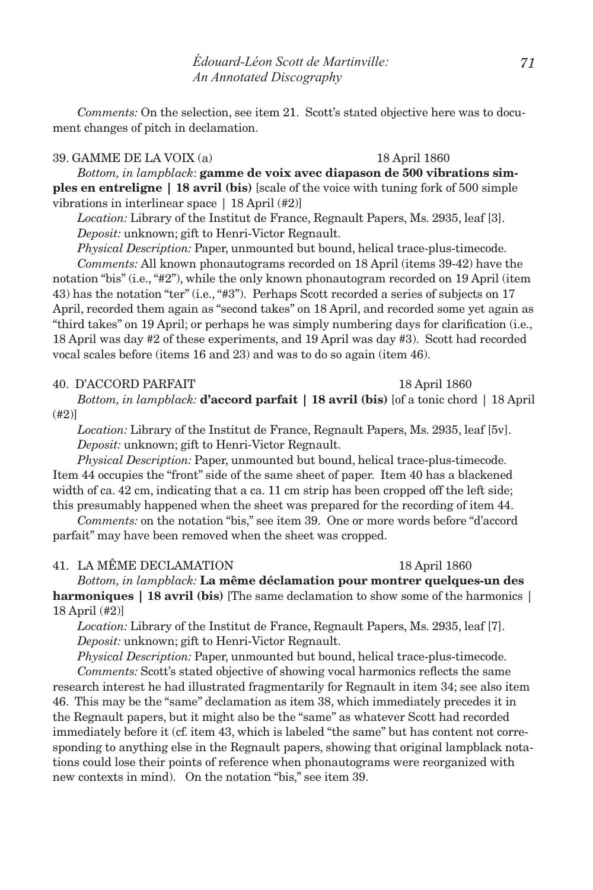*Comments:* On the selection, see item 21. Scott's stated objective here was to document changes of pitch in declamation.

### 39. gamme de la voix (a) 18 April 1860

*Bottom, in lampblack*: **gamme de voix avec diapason de 500 vibrations simples en entreligne | 18 avril (bis)** [scale of the voice with tuning fork of 500 simple vibrations in interlinear space | 18 April (#2)]

*Location:* Library of the Institut de France, Regnault Papers, Ms. 2935, leaf [3]. *Deposit:* unknown; gift to Henri-Victor Regnault.

*Physical Description:* Paper, unmounted but bound, helical trace-plus-timecode.

*Comments:* All known phonautograms recorded on 18 April (items 39-42) have the notation "bis" (i.e., "#2"), while the only known phonautogram recorded on 19 April (item 43) has the notation "ter" (i.e., "#3"). Perhaps Scott recorded a series of subjects on 17 April, recorded them again as "second takes" on 18 April, and recorded some yet again as "third takes" on 19 April; or perhaps he was simply numbering days for clarification (i.e., 18 April was day #2 of these experiments, and 19 April was day #3). Scott had recorded vocal scales before (items 16 and 23) and was to do so again (item 46).

### 40. D'ACCORD PARFAIT 1860

*Bottom, in lampblack:* **d'accord parfait | 18 avril (bis)** [of a tonic chord | 18 April (#2)]

*Location:* Library of the Institut de France, Regnault Papers, Ms. 2935, leaf [5v]. *Deposit:* unknown; gift to Henri-Victor Regnault.

*Physical Description:* Paper, unmounted but bound, helical trace-plus-timecode. Item 44 occupies the "front" side of the same sheet of paper. Item 40 has a blackened width of ca. 42 cm, indicating that a ca. 11 cm strip has been cropped off the left side; this presumably happened when the sheet was prepared for the recording of item 44.

*Comments:* on the notation "bis," see item 39. One or more words before "d'accord parfait" may have been removed when the sheet was cropped.

### 41. la même declamation 18 April 1860

*Bottom, in lampblack:* **La même déclamation pour montrer quelques-un des harmoniques | 18 avril (bis)** [The same declamation to show some of the harmonics | 18 April (#2)]

*Location:* Library of the Institut de France, Regnault Papers, Ms. 2935, leaf [7]. *Deposit:* unknown; gift to Henri-Victor Regnault.

*Physical Description:* Paper, unmounted but bound, helical trace-plus-timecode.

*Comments:* Scott's stated objective of showing vocal harmonics reflects the same research interest he had illustrated fragmentarily for Regnault in item 34; see also item 46. This may be the "same" declamation as item 38, which immediately precedes it in the Regnault papers, but it might also be the "same" as whatever Scott had recorded immediately before it (cf. item 43, which is labeled "the same" but has content not corresponding to anything else in the Regnault papers, showing that original lampblack notations could lose their points of reference when phonautograms were reorganized with new contexts in mind). On the notation "bis," see item 39.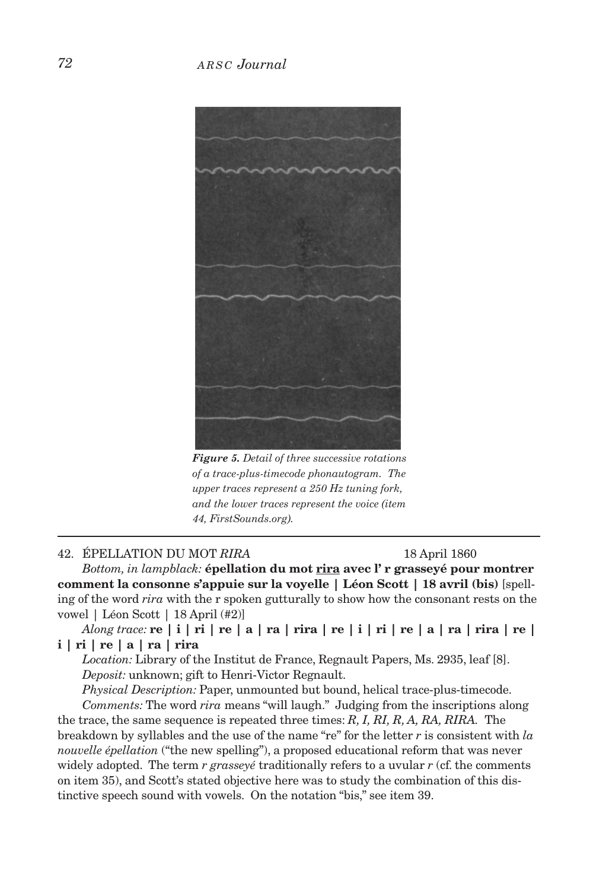

*Figure 5. Detail of three successive rotations of a trace-plus-timecode phonautogram. The upper traces represent a 250 Hz tuning fork, and the lower traces represent the voice (item 44, FirstSounds.org).*

### 42. épellation du mot *rira* 18 April 1860

*Bottom, in lampblack:* **épellation du mot rira avec l' r grasseyé pour montrer comment la consonne s'appuie sur la voyelle | Léon Scott | 18 avril (bis)** [spelling of the word *rira* with the r spoken gutturally to show how the consonant rests on the vowel | Léon Scott | 18 April (#2)]

*Along trace:* **re | i | ri | re | a | ra | rira | re | i | ri | re | a | ra | rira | re | i | ri | re | a | ra | rira**

*Location:* Library of the Institut de France, Regnault Papers, Ms. 2935, leaf [8]. *Deposit:* unknown; gift to Henri-Victor Regnault.

*Physical Description:* Paper, unmounted but bound, helical trace-plus-timecode. *Comments:* The word *rira* means "will laugh." Judging from the inscriptions along

the trace, the same sequence is repeated three times: *R, I, RI, R, A, RA, RIRA.* The breakdown by syllables and the use of the name "re" for the letter *r* is consistent with *la nouvelle épellation* ("the new spelling"), a proposed educational reform that was never widely adopted. The term *r grasseyé* traditionally refers to a uvular *r* (cf. the comments on item 35), and Scott's stated objective here was to study the combination of this distinctive speech sound with vowels. On the notation "bis," see item 39.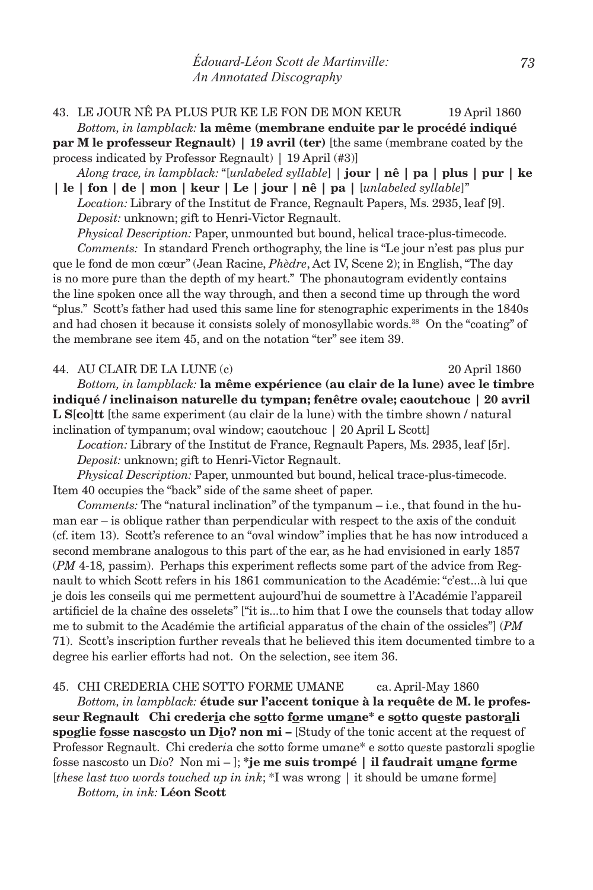43. le jour nê pa plus pur ke le fon de mon keur 19 April 1860 *Bottom, in lampblack:* **la même (membrane enduite par le procédé indiqué par M le professeur Regnault) | 19 avril (ter)** [the same (membrane coated by the process indicated by Professor Regnault) | 19 April (#3)] *Along trace, in lampblack:* "[*unlabeled syllable*] | **jour | nê | pa | plus | pur | ke** 

**| le | fon | de | mon | keur | Le | jour | nê | pa |** [*unlabeled syllable*]" *Location:* Library of the Institut de France, Regnault Papers, Ms. 2935, leaf [9].

*Deposit:* unknown; gift to Henri-Victor Regnault.

*Physical Description:* Paper, unmounted but bound, helical trace-plus-timecode. *Comments:* In standard French orthography, the line is "Le jour n'est pas plus pur que le fond de mon cœur" (Jean Racine, *Phèdre*, Act IV, Scene 2); in English, "The day is no more pure than the depth of my heart." The phonautogram evidently contains the line spoken once all the way through, and then a second time up through the word "plus." Scott's father had used this same line for stenographic experiments in the 1840s and had chosen it because it consists solely of monosyllabic words.38 On the "coating" of the membrane see item 45, and on the notation "ter" see item 39.

44. au clair de la lune (c) 20 April 1860

*Bottom, in lampblack:* **la même expérience (au clair de la lune) avec le timbre indiqué / inclinaison naturelle du tympan; fenêtre ovale; caoutchouc | 20 avril L S**[**co**]**tt** [the same experiment (au clair de la lune) with the timbre shown / natural inclination of tympanum; oval window; caoutchouc | 20 April L Scott]

*Location:* Library of the Institut de France, Regnault Papers, Ms. 2935, leaf [5r]. *Deposit:* unknown; gift to Henri-Victor Regnault.

*Physical Description:* Paper, unmounted but bound, helical trace-plus-timecode. Item 40 occupies the "back" side of the same sheet of paper.

*Comments:* The "natural inclination" of the tympanum – i.e., that found in the human ear – is oblique rather than perpendicular with respect to the axis of the conduit (cf. item 13). Scott's reference to an "oval window" implies that he has now introduced a second membrane analogous to this part of the ear, as he had envisioned in early 1857 (*PM* 4-18*,* passim). Perhaps this experiment reflects some part of the advice from Regnault to which Scott refers in his 1861 communication to the Académie: "c'est...à lui que je dois les conseils qui me permettent aujourd'hui de soumettre à l'Académie l'appareil artificiel de la chaîne des osselets" ["it is...to him that I owe the counsels that today allow me to submit to the Académie the artificial apparatus of the chain of the ossicles"] (*PM*  71). Scott's inscription further reveals that he believed this item documented timbre to a degree his earlier efforts had not. On the selection, see item 36.

45. chi crederia che sotto forme umane ca. April-May 1860

*Bottom, in lampblack:* **étude sur l'accent tonique à la requête de M. le professeur Regnault Chi crederia che sotto forme umane\* e sotto queste pastorali spoglie fosse nascosto un Dio? non mi –** [Study of the tonic accent at the request of Professor Regnault. Chi creder*i*a che s*o*tto f*o*rme um*a*ne\* e s*o*tto qu*e*ste pastor*a*li sp*o*glie f*o*sse nasc*o*sto un D*i*o? Non mi – ]; **\*je me suis trompé | il faudrait umane forme** [*these last two words touched up in ink*; \*I was wrong | it should be um*a*ne f*o*rme]

*Bottom, in ink:* **Léon Scott**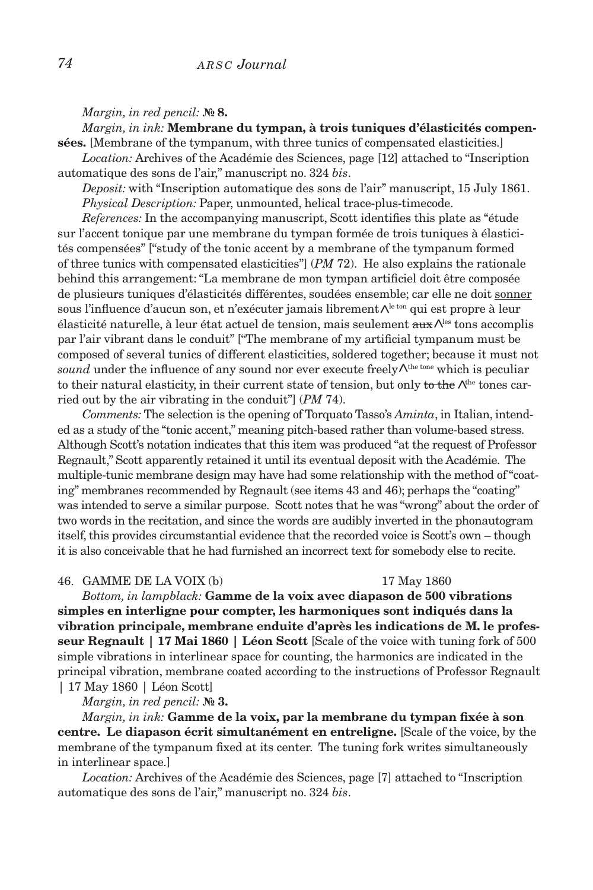### *Margin, in red pencil:* **№ 8.**

*Margin, in ink:* **Membrane du tympan, à trois tuniques d'élasticités compensées.** [Membrane of the tympanum, with three tunics of compensated elasticities.]

*Location:* Archives of the Académie des Sciences, page [12] attached to "Inscription automatique des sons de l'air," manuscript no. 324 *bis*.

*Deposit:* with "Inscription automatique des sons de l'air" manuscript, 15 July 1861. *Physical Description:* Paper, unmounted, helical trace-plus-timecode.

*References:* In the accompanying manuscript, Scott identifies this plate as "étude sur l'accent tonique par une membrane du tympan formée de trois tuniques à élasticités compensées" ["study of the tonic accent by a membrane of the tympanum formed of three tunics with compensated elasticities"] (*PM* 72). He also explains the rationale behind this arrangement: "La membrane de mon tympan artificiel doit être composée de plusieurs tuniques d'élasticités différentes, soudées ensemble; car elle ne doit sonner sous l'influence d'aucun son, et n'exécuter jamais librement $\Lambda^{\text{le ten}}$  qui est propre à leur élasticité naturelle, à leur état actuel de tension, mais seulement auxles tons accomplis <par l'air vibrant dans le conduit" ["The membrane of my artificial tympanum must be composed of several tunics of different elasticities, soldered together; because it must not sound under the influence of any sound nor ever execute freely  $\Lambda$ <sup>the tone</sup> which is peculiar to their natural elasticity, in their current state of tension, but only to the  $\Lambda^{\text{the}}$  tones carried out by the air vibrating in the conduit"] (*PM* 74).

*Comments:* The selection is the opening of Torquato Tasso's *Aminta*, in Italian, intended as a study of the "tonic accent," meaning pitch-based rather than volume-based stress. Although Scott's notation indicates that this item was produced "at the request of Professor Regnault," Scott apparently retained it until its eventual deposit with the Académie. The multiple-tunic membrane design may have had some relationship with the method of "coating" membranes recommended by Regnault (see items 43 and 46); perhaps the "coating" was intended to serve a similar purpose. Scott notes that he was "wrong" about the order of two words in the recitation, and since the words are audibly inverted in the phonautogram itself, this provides circumstantial evidence that the recorded voice is Scott's own – though it is also conceivable that he had furnished an incorrect text for somebody else to recite.

### 46. GAMME DE LA VOIX (b) 17 May 1860

*Bottom, in lampblack:* **Gamme de la voix avec diapason de 500 vibrations simples en interligne pour compter, les harmoniques sont indiqués dans la vibration principale, membrane enduite d'après les indications de M. le professeur Regnault | 17 Mai 1860 | Léon Scott** [Scale of the voice with tuning fork of 500 simple vibrations in interlinear space for counting, the harmonics are indicated in the principal vibration, membrane coated according to the instructions of Professor Regnault | 17 May 1860 | Léon Scott]

*Margin, in red pencil:* **№ 3.**

*Margin, in ink:* **Gamme de la voix, par la membrane du tympan fixée à son centre. Le diapason écrit simultanément en entreligne.** [Scale of the voice, by the membrane of the tympanum fixed at its center. The tuning fork writes simultaneously in interlinear space.]

*Location:* Archives of the Académie des Sciences, page [7] attached to "Inscription automatique des sons de l'air," manuscript no. 324 *bis*.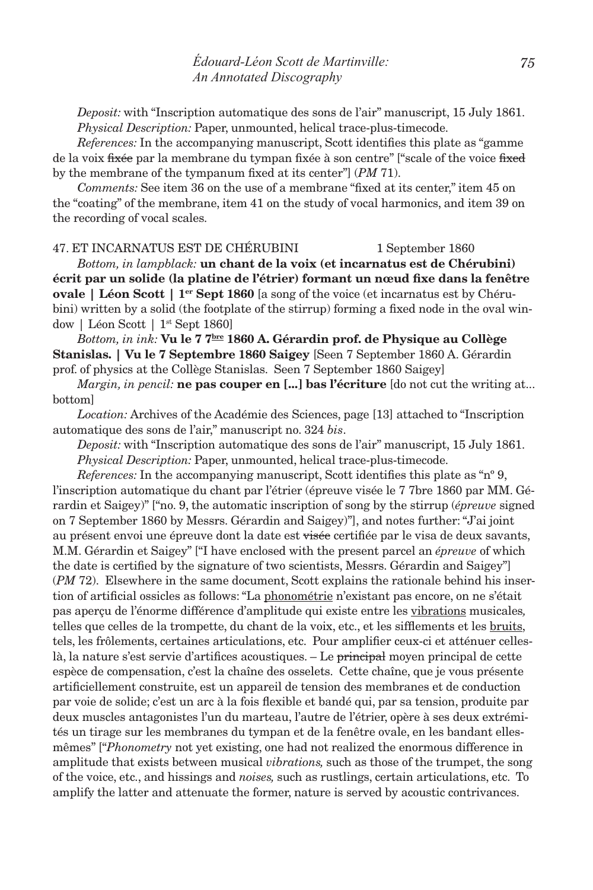*Deposit:* with "Inscription automatique des sons de l'air" manuscript, 15 July 1861. *Physical Description:* Paper, unmounted, helical trace-plus-timecode.

*References:* In the accompanying manuscript, Scott identifies this plate as "gamme de la voix fixée par la membrane du tympan fixée à son centre" ["scale of the voice fixed by the membrane of the tympanum fixed at its center"] (*PM* 71).

*Comments:* See item 36 on the use of a membrane "fixed at its center," item 45 on the "coating" of the membrane, item 41 on the study of vocal harmonics, and item 39 on the recording of vocal scales.

### 47. et incarnatus est de chérubini 1 September 1860

*Bottom, in lampblack:* **un chant de la voix (et incarnatus est de Chérubini) écrit par un solide (la platine de l'étrier) formant un nœud fixe dans la fenêtre ovale | Léon Scott | 1<sup>er</sup> Sept 1860** [a song of the voice (et incarnatus est by Chérubini) written by a solid (the footplate of the stirrup) forming a fixed node in the oval window | Léon Scott | 1st Sept 1860]

*Bottom, in ink:* **Vu le 7 7bre 1860 A. Gérardin prof. de Physique au Collège Stanislas. | Vu le 7 Septembre 1860 Saigey** [Seen 7 September 1860 A. Gérardin prof. of physics at the Collège Stanislas. Seen 7 September 1860 Saigey]

*Margin, in pencil:* **ne pas couper en [...] bas l'écriture** [do not cut the writing at... bottom]

*Location:* Archives of the Académie des Sciences, page [13] attached to "Inscription automatique des sons de l'air," manuscript no. 324 *bis*.

*Deposit:* with "Inscription automatique des sons de l'air" manuscript, 15 July 1861. *Physical Description:* Paper, unmounted, helical trace-plus-timecode.

*References:* In the accompanying manuscript, Scott identifies this plate as "nº 9, l'inscription automatique du chant par l'étrier (épreuve visée le 7 7bre 1860 par MM. Gérardin et Saigey)" ["no. 9, the automatic inscription of song by the stirrup (*épreuve* signed on 7 September 1860 by Messrs. Gérardin and Saigey)"], and notes further: "J'ai joint au présent envoi une épreuve dont la date est visée certifiée par le visa de deux savants, M.M. Gérardin et Saigey" ["I have enclosed with the present parcel an *épreuve* of which the date is certified by the signature of two scientists, Messrs. Gérardin and Saigey"] (*PM* 72). Elsewhere in the same document, Scott explains the rationale behind his insertion of artificial ossicles as follows: "La phonométrie n'existant pas encore, on ne s'était pas aperçu de l'énorme différence d'amplitude qui existe entre les vibrations musicales*,* telles que celles de la trompette, du chant de la voix, etc., et les sifflements et les bruits, tels, les frôlements, certaines articulations, etc. Pour amplifier ceux-ci et atténuer celleslà, la nature s'est servie d'artifices acoustiques. – Le principal moyen principal de cette espèce de compensation, c'est la chaîne des osselets. Cette chaîne, que je vous présente artificiellement construite, est un appareil de tension des membranes et de conduction par voie de solide; c'est un arc à la fois flexible et bandé qui, par sa tension, produite par deux muscles antagonistes l'un du marteau, l'autre de l'étrier, opère à ses deux extrémités un tirage sur les membranes du tympan et de la fenêtre ovale, en les bandant ellesmêmes" ["*Phonometry* not yet existing, one had not realized the enormous difference in amplitude that exists between musical *vibrations,* such as those of the trumpet, the song of the voice, etc., and hissings and *noises,* such as rustlings, certain articulations, etc. To amplify the latter and attenuate the former, nature is served by acoustic contrivances.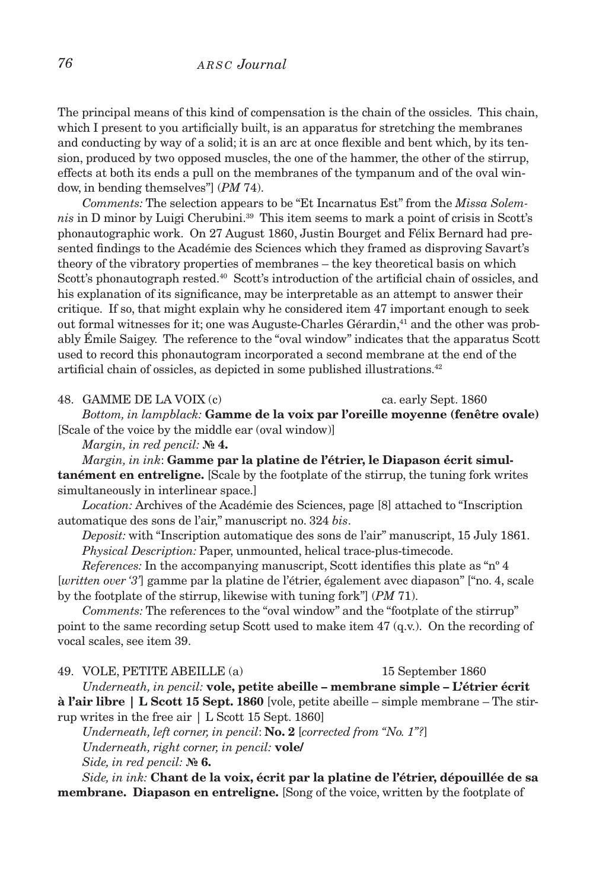# *76 a r s c Journal*

The principal means of this kind of compensation is the chain of the ossicles. This chain, which I present to you artificially built, is an apparatus for stretching the membranes and conducting by way of a solid; it is an arc at once flexible and bent which, by its tension, produced by two opposed muscles, the one of the hammer, the other of the stirrup, effects at both its ends a pull on the membranes of the tympanum and of the oval window, in bending themselves"] (*PM* 74).

*Comments:* The selection appears to be "Et Incarnatus Est" from the *Missa Solemnis* in D minor by Luigi Cherubini.39 This item seems to mark a point of crisis in Scott's phonautographic work. On 27 August 1860, Justin Bourget and Félix Bernard had presented findings to the Académie des Sciences which they framed as disproving Savart's theory of the vibratory properties of membranes – the key theoretical basis on which Scott's phonautograph rested.<sup>40</sup> Scott's introduction of the artificial chain of ossicles, and his explanation of its significance, may be interpretable as an attempt to answer their critique. If so, that might explain why he considered item 47 important enough to seek out formal witnesses for it; one was Auguste-Charles Gérardin,<sup>41</sup> and the other was probably Émile Saigey. The reference to the "oval window" indicates that the apparatus Scott used to record this phonautogram incorporated a second membrane at the end of the artificial chain of ossicles, as depicted in some published illustrations.<sup>42</sup>

48. GAMME DE LA VOIX (c) ca. early Sept. 1860

*Bottom, in lampblack:* **Gamme de la voix par l'oreille moyenne (fenêtre ovale)** [Scale of the voice by the middle ear (oval window)]

*Margin, in red pencil:* **№ 4.**

*Margin, in ink*: **Gamme par la platine de l'étrier, le Diapason écrit simultanément en entreligne.** [Scale by the footplate of the stirrup, the tuning fork writes simultaneously in interlinear space.]

*Location:* Archives of the Académie des Sciences, page [8] attached to "Inscription automatique des sons de l'air," manuscript no. 324 *bis*.

*Deposit:* with "Inscription automatique des sons de l'air" manuscript, 15 July 1861. *Physical Description:* Paper, unmounted, helical trace-plus-timecode.

*References:* In the accompanying manuscript, Scott identifies this plate as "nº 4 [*written over '3'*] gamme par la platine de l'étrier, également avec diapason" ["no. 4, scale by the footplate of the stirrup, likewise with tuning fork"] (*PM* 71).

Comments: The references to the "oval window" and the "footplate of the stirrup" point to the same recording setup Scott used to make item 47 (q.v.). On the recording of vocal scales, see item 39.

49. vole, petite abeille (a) 15 September 1860

*Underneath, in pencil:* **vole, petite abeille – membrane simple – L'étrier écrit à l'air libre | L Scott 15 Sept. 1860** [vole, petite abeille – simple membrane – The stirrup writes in the free air | L Scott 15 Sept. 1860]

*Underneath, left corner, in pencil*: **No. 2** [*corrected from "No. 1"?*] *Underneath, right corner, in pencil:* **vole/**

*Side, in red pencil:* **№ 6.**

*Side, in ink:* **Chant de la voix, écrit par la platine de l'étrier, dépouillée de sa membrane. Diapason en entreligne.** [Song of the voice, written by the footplate of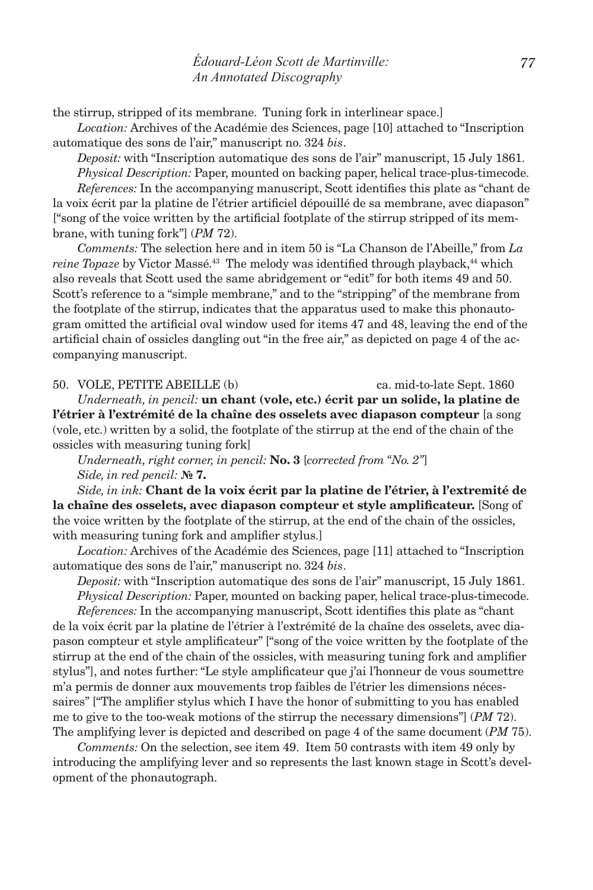the stirrup, stripped of its membrane. Tuning fork in interlinear space.]

*Location:* Archives of the Académie des Sciences, page [10] attached to "Inscription automatique des sons de l'air," manuscript no. 324 *bis*.

*Deposit:* with "Inscription automatique des sons de l'air" manuscript, 15 July 1861. *Physical Description:* Paper, mounted on backing paper, helical trace-plus-timecode.

*References:* In the accompanying manuscript, Scott identifies this plate as "chant de la voix écrit par la platine de l'étrier artificiel dépouillé de sa membrane, avec diapason" ["song of the voice written by the artificial footplate of the stirrup stripped of its membrane, with tuning fork"] (*PM* 72).

*Comments:* The selection here and in item 50 is "La Chanson de l'Abeille," from *La reine Topaze* by Victor Massé.<sup>43</sup> The melody was identified through playback,<sup>44</sup> which also reveals that Scott used the same abridgement or "edit" for both items 49 and 50. Scott's reference to a "simple membrane," and to the "stripping" of the membrane from the footplate of the stirrup, indicates that the apparatus used to make this phonautogram omitted the artificial oval window used for items 47 and 48, leaving the end of the artificial chain of ossicles dangling out "in the free air," as depicted on page 4 of the accompanying manuscript.

50. vole, petite abeille (b) ca. mid-to-late Sept. 1860

*Underneath, in pencil:* **un chant (vole, etc.) écrit par un solide, la platine de l'étrier à l'extrémité de la chaîne des osselets avec diapason compteur** [a song (vole, etc.) written by a solid, the footplate of the stirrup at the end of the chain of the ossicles with measuring tuning fork]

*Underneath, right corner, in pencil:* **No. 3** [*corrected from "No. 2"*] *Side, in red pencil:* **№ 7.**

*Side, in ink:* **Chant de la voix écrit par la platine de l'étrier, à l'extremité de la chaîne des osselets, avec diapason compteur et style amplificateur.** [Song of the voice written by the footplate of the stirrup, at the end of the chain of the ossicles, with measuring tuning fork and amplifier stylus.]

*Location:* Archives of the Académie des Sciences, page [11] attached to "Inscription automatique des sons de l'air," manuscript no. 324 *bis*.

*Deposit:* with "Inscription automatique des sons de l'air" manuscript, 15 July 1861. *Physical Description:* Paper, mounted on backing paper, helical trace-plus-timecode.

*References:* In the accompanying manuscript, Scott identifies this plate as "chant de la voix écrit par la platine de l'étrier à l'extrémité de la chaîne des osselets, avec diapason compteur et style amplificateur" ["song of the voice written by the footplate of the stirrup at the end of the chain of the ossicles, with measuring tuning fork and amplifier stylus"], and notes further: "Le style amplificateur que j'ai l'honneur de vous soumettre m'a permis de donner aux mouvements trop faibles de l'étrier les dimensions nécessaires" ["The amplifier stylus which I have the honor of submitting to you has enabled me to give to the too-weak motions of the stirrup the necessary dimensions"] (*PM* 72). The amplifying lever is depicted and described on page 4 of the same document (*PM* 75).

*Comments:* On the selection, see item 49. Item 50 contrasts with item 49 only by introducing the amplifying lever and so represents the last known stage in Scott's development of the phonautograph.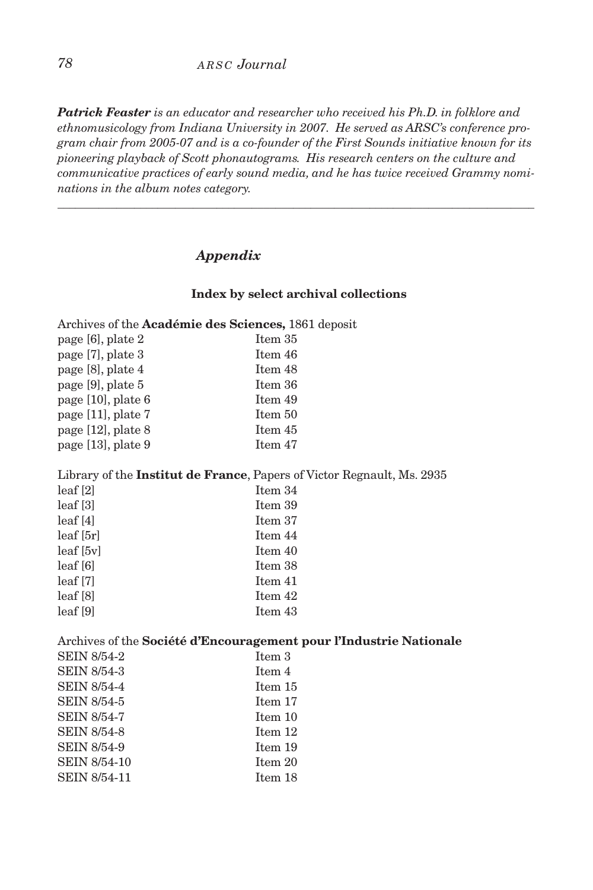# *78 a r s c Journal*

*Patrick Feaster is an educator and researcher who received his Ph.D. in folklore and ethnomusicology from Indiana University in 2007. He served as ARSC's conference program chair from 2005-07 and is a co-founder of the First Sounds initiative known for its pioneering playback of Scott phonautograms. His research centers on the culture and communicative practices of early sound media, and he has twice received Grammy nominations in the album notes category.*

\_\_\_\_\_\_\_\_\_\_\_\_\_\_\_\_\_\_\_\_\_\_\_\_\_\_\_\_\_\_\_\_\_\_\_\_\_\_\_\_\_\_\_\_\_\_\_\_\_\_\_\_\_\_\_\_\_\_\_\_\_\_\_\_\_\_\_\_\_\_\_\_\_\_\_\_\_\_\_\_\_

# *Appendix*

### **Index by select archival collections**

Archives of the **Académie des Sciences,** 1861 deposit

| Item 35 |
|---------|
| Item 46 |
| Item 48 |
| Item 36 |
| Item 49 |
| Item 50 |
| Item 45 |
| Item 47 |
|         |

### Library of the **Institut de France**, Papers of Victor Regnault, Ms. 2935

| leaf[2]          | Item 34 |
|------------------|---------|
| leaf[3]          | Item 39 |
| leaf[4]          | Item 37 |
| leaf[5r]         | Item 44 |
| $leaf$ [5 $vl$ ] | Item 40 |
| leaf[6]          | Item 38 |
| $leaf$ $[7]$     | Item 41 |
| leaf[8]          | Item 42 |
| leaf[9]          | Item 43 |

### Archives of the **Société d'Encouragement pour l'Industrie Nationale**

| <b>SEIN 8/54-2</b>  | Item 3  |
|---------------------|---------|
| <b>SEIN 8/54-3</b>  | Item 4  |
| <b>SEIN 8/54-4</b>  | Item 15 |
| <b>SEIN 8/54-5</b>  | Item 17 |
| <b>SEIN 8/54-7</b>  | Item 10 |
| <b>SEIN 8/54-8</b>  | Item 12 |
| <b>SEIN 8/54-9</b>  | Item 19 |
| <b>SEIN 8/54-10</b> | Item 20 |
| <b>SEIN 8/54-11</b> | Item 18 |
|                     |         |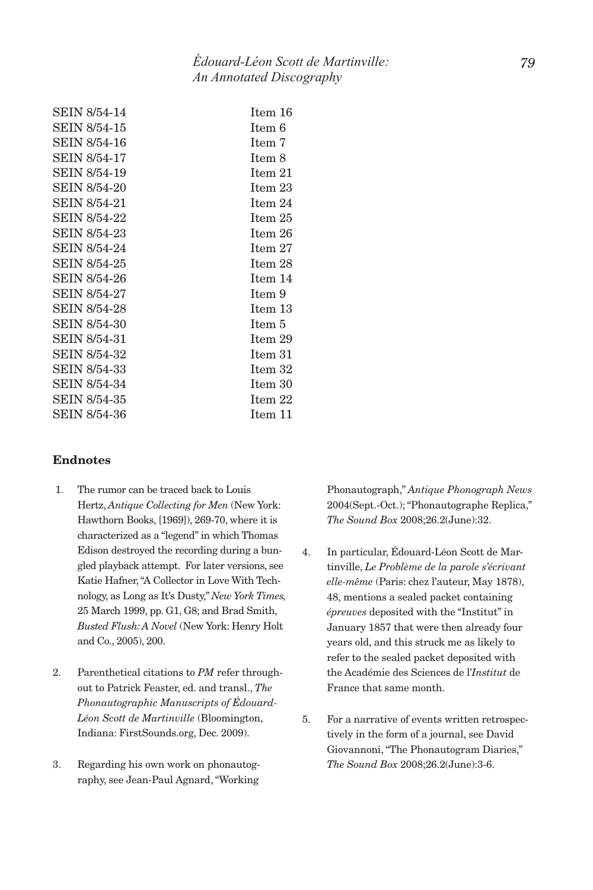| <b>SEIN 8/54-14</b> | Item 16 |
|---------------------|---------|
| SEIN 8/54-15        | Item 6  |
| SEIN 8/54-16        | Item 7  |
| SEIN 8/54-17        | Item 8  |
| SEIN 8/54-19        | Item 21 |
| SEIN 8/54-20        | Item 23 |
| SEIN 8/54-21        | Item 24 |
| SEIN 8/54-22        | Item 25 |
| SEIN 8/54-23        | Item 26 |
| SEIN 8/54-24        | Item 27 |
| SEIN 8/54-25        | Item 28 |
| SEIN 8/54-26        | Item 14 |
| SEIN 8/54-27        | Item 9  |
| SEIN 8/54-28        | Item 13 |
| SEIN 8/54-30        | Item 5  |
| SEIN 8/54-31        | Item 29 |
| <b>SEIN 8/54-32</b> | Item 31 |
| SEIN 8/54-33        | Item 32 |
| SEIN 8/54-34        | Item 30 |
| SEIN 8/54-35        | Item 22 |
| SEIN 8/54-36        | Item 11 |

### **Endnotes**

- 1. The rumor can be traced back to Louis Hertz, *Antique Collecting for Men* (New York: Hawthorn Books, [1969]), 269-70, where it is characterized as a "legend" in which Thomas Edison destroyed the recording during a bungled playback attempt. For later versions, see Katie Hafner, "A Collector in Love With Technology, as Long as It's Dusty," *New York Times,*  25 March 1999, pp. G1, G8; and Brad Smith, *Busted Flush: A Novel* (New York: Henry Holt and Co., 2005), 200.
- 2. Parenthetical citations to *PM* refer throughout to Patrick Feaster, ed. and transl., *The Phonautographic Manuscripts of Édouard-Léon Scott de Martinville* (Bloomington, Indiana: FirstSounds.org, Dec. 2009).
- 3. Regarding his own work on phonautography, see Jean-Paul Agnard, "Working

Phonautograph," *Antique Phonograph News*  2004(Sept.-Oct.); "Phonautographe Replica," *The Sound Box* 2008;26.2(June):32.

- 4. In particular, Édouard-Léon Scott de Martinville, *Le Problème de la parole s'écrivant elle-même* (Paris: chez l'auteur, May 1878), 48, mentions a sealed packet containing *épreuves* deposited with the "Institut" in January 1857 that were then already four years old, and this struck me as likely to refer to the sealed packet deposited with the Académie des Sciences de l'*Institut* de France that same month.
- 5. For a narrative of events written retrospectively in the form of a journal, see David Giovannoni, "The Phonautogram Diaries," *The Sound Box* 2008;26.2(June):3-6.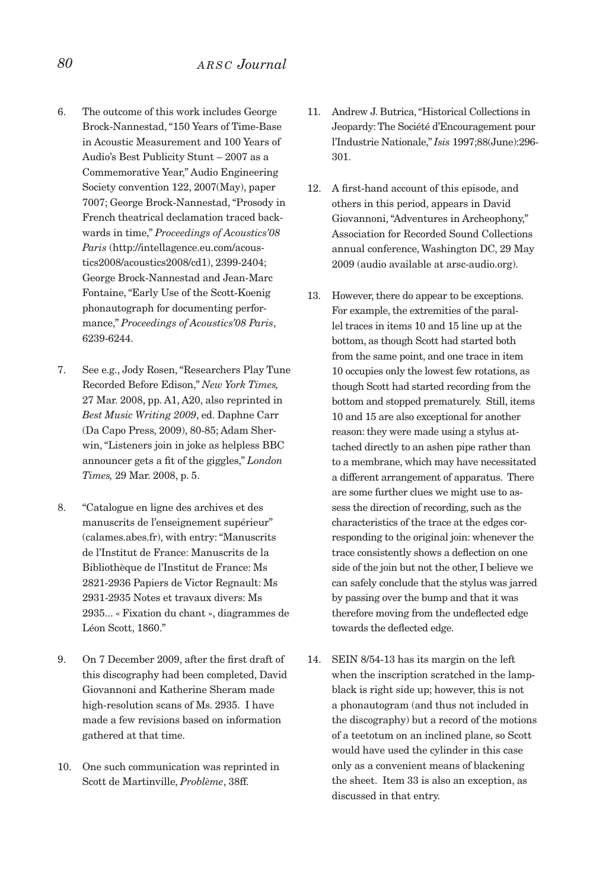- 6. The outcome of this work includes George Brock-Nannestad, "150 Years of Time-Base in Acoustic Measurement and 100 Years of Audio's Best Publicity Stunt – 2007 as a Commemorative Year," Audio Engineering Society convention 122, 2007(May), paper 7007; George Brock-Nannestad, "Prosody in French theatrical declamation traced backwards in time," *Proceedings of Acoustics'08 Paris* (http://intellagence.eu.com/acoustics2008/acoustics2008/cd1), 2399-2404; George Brock-Nannestad and Jean-Marc Fontaine, "Early Use of the Scott-Koenig phonautograph for documenting performance," *Proceedings of Acoustics'08 Paris*, 6239-6244.
- 7. See e.g., Jody Rosen, "Researchers Play Tune Recorded Before Edison," *New York Times,*  27 Mar. 2008, pp. A1, A20, also reprinted in *Best Music Writing 2009*, ed. Daphne Carr (Da Capo Press, 2009), 80-85; Adam Sherwin, "Listeners join in joke as helpless BBC announcer gets a fit of the giggles," *London Times,* 29 Mar. 2008, p. 5.
- 8. "Catalogue en ligne des archives et des manuscrits de l'enseignement supérieur" (calames.abes.fr), with entry: "Manuscrits de l'Institut de France: Manuscrits de la Bibliothèque de l'Institut de France: Ms 2821-2936 Papiers de Victor Regnault: Ms 2931-2935 Notes et travaux divers: Ms 2935... « Fixation du chant », diagrammes de Léon Scott, 1860."
- 9. On 7 December 2009, after the first draft of this discography had been completed, David Giovannoni and Katherine Sheram made high-resolution scans of Ms. 2935. I have made a few revisions based on information gathered at that time.
- 10. One such communication was reprinted in Scott de Martinville, *Problème*, 38ff.
- 11. Andrew J. Butrica, "Historical Collections in Jeopardy: The Société d'Encouragement pour l'Industrie Nationale," *Isis* 1997;88(June):296- 301.
- 12. A first-hand account of this episode, and others in this period, appears in David Giovannoni, "Adventures in Archeophony," Association for Recorded Sound Collections annual conference, Washington DC, 29 May 2009 (audio available at arsc-audio.org).
- 13. However, there do appear to be exceptions. For example, the extremities of the parallel traces in items 10 and 15 line up at the bottom, as though Scott had started both from the same point, and one trace in item 10 occupies only the lowest few rotations, as though Scott had started recording from the bottom and stopped prematurely. Still, items 10 and 15 are also exceptional for another reason: they were made using a stylus attached directly to an ashen pipe rather than to a membrane, which may have necessitated a different arrangement of apparatus. There are some further clues we might use to assess the direction of recording, such as the characteristics of the trace at the edges corresponding to the original join: whenever the trace consistently shows a deflection on one side of the join but not the other, I believe we can safely conclude that the stylus was jarred by passing over the bump and that it was therefore moving from the undeflected edge towards the deflected edge.
- 14. SEIN 8/54-13 has its margin on the left when the inscription scratched in the lampblack is right side up; however, this is not a phonautogram (and thus not included in the discography) but a record of the motions of a teetotum on an inclined plane, so Scott would have used the cylinder in this case only as a convenient means of blackening the sheet. Item 33 is also an exception, as discussed in that entry.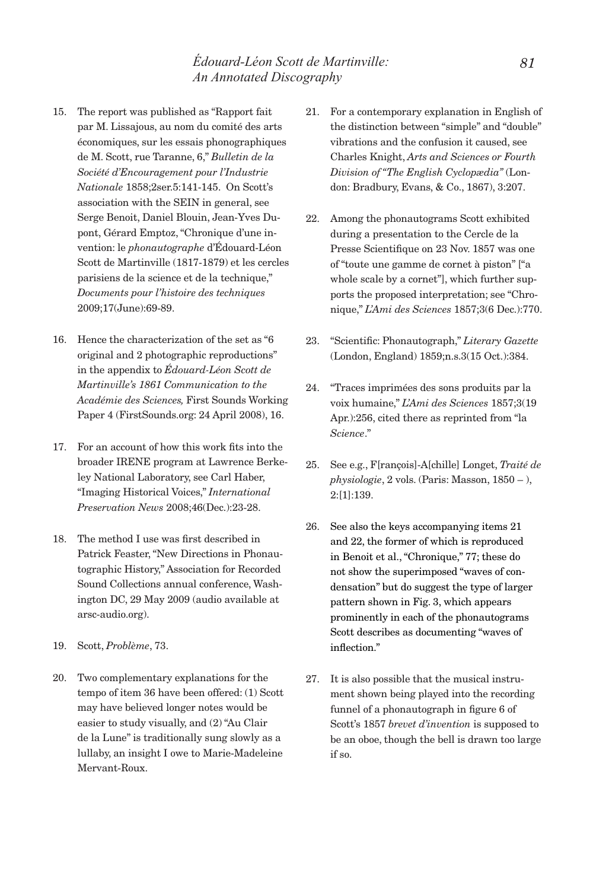- 15. The report was published as "Rapport fait par M. Lissajous, au nom du comité des arts économiques, sur les essais phonographiques de M. Scott, rue Taranne, 6," *Bulletin de la Société d'Encouragement pour l'Industrie Nationale* 1858;2ser.5:141-145. On Scott's association with the SEIN in general, see Serge Benoit, Daniel Blouin, Jean-Yves Dupont, Gérard Emptoz, "Chronique d'une invention: le *phonautographe* d'Édouard-Léon Scott de Martinville (1817-1879) et les cercles parisiens de la science et de la technique," *Documents pour l'histoire des techniques*  2009;17(June):69-89.
- 16. Hence the characterization of the set as "6 original and 2 photographic reproductions" in the appendix to *Édouard-Léon Scott de Martinville's 1861 Communication to the Académie des Sciences,* First Sounds Working Paper 4 (FirstSounds.org: 24 April 2008), 16.
- 17. For an account of how this work fits into the broader IRENE program at Lawrence Berkeley National Laboratory, see Carl Haber, "Imaging Historical Voices," *International Preservation News* 2008;46(Dec.):23-28.
- 18. The method I use was first described in Patrick Feaster, "New Directions in Phonautographic History," Association for Recorded Sound Collections annual conference, Washington DC, 29 May 2009 (audio available at arsc-audio.org).
- 19. Scott, *Problème*, 73.
- 20. Two complementary explanations for the tempo of item 36 have been offered: (1) Scott may have believed longer notes would be easier to study visually, and (2) "Au Clair de la Lune" is traditionally sung slowly as a lullaby, an insight I owe to Marie-Madeleine Mervant-Roux.
- 21. For a contemporary explanation in English of the distinction between "simple" and "double" vibrations and the confusion it caused, see Charles Knight, *Arts and Sciences or Fourth Division of "The English Cyclopædia"* (London: Bradbury, Evans, & Co., 1867), 3:207.
- 22. Among the phonautograms Scott exhibited during a presentation to the Cercle de la Presse Scientifique on 23 Nov. 1857 was one of "toute une gamme de cornet à piston" ["a whole scale by a cornet"], which further supports the proposed interpretation; see "Chronique," *L'Ami des Sciences* 1857;3(6 Dec.):770.
- 23. "Scientific: Phonautograph," *Literary Gazette*  (London, England) 1859;n.s.3(15 Oct.):384.
- 24. "Traces imprimées des sons produits par la voix humaine," *L'Ami des Sciences* 1857;3(19 Apr.):256, cited there as reprinted from "la *Science*."
- 25. See e.g., F[rançois]-A[chille] Longet, *Traité de physiologie*, 2 vols. (Paris: Masson, 1850 – ), 2:[1]:139.
- 26. See also the keys accompanying items 21 and 22, the former of which is reproduced in Benoit et al., "Chronique," 77; these do not show the superimposed "waves of condensation" but do suggest the type of larger pattern shown in Fig. 3, which appears prominently in each of the phonautograms Scott describes as documenting "waves of inflection."
- 27. It is also possible that the musical instrument shown being played into the recording funnel of a phonautograph in figure 6 of Scott's 1857 *brevet d'invention* is supposed to be an oboe, though the bell is drawn too large if so.